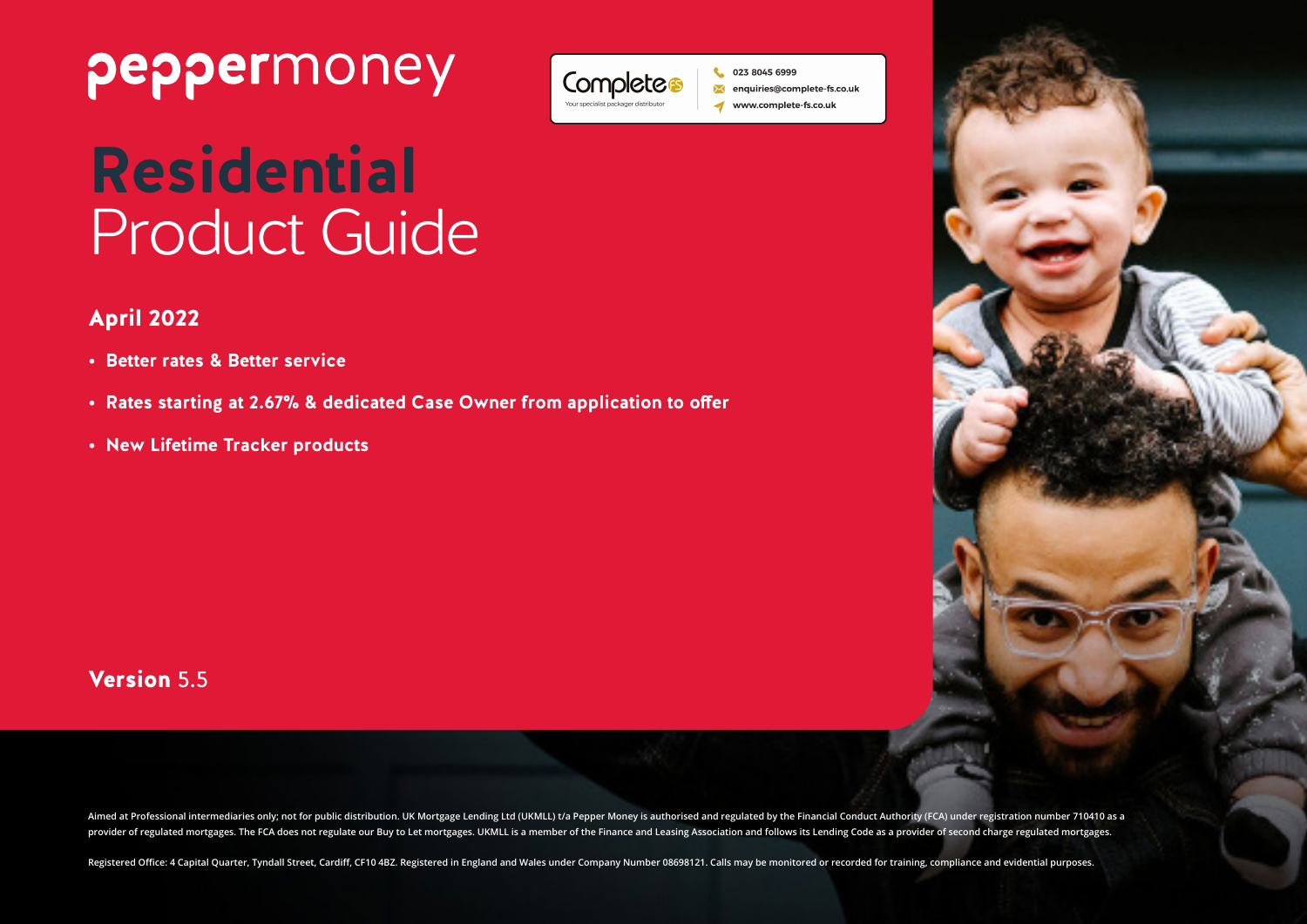



### April 2022

- **• Better rates & Better service**
- **• Rates starting at 2.67% & dedicated Case Owner from application to offer**
- **• New Lifetime Tracker products**

### Version 5.5

Aimed at Professional intermediaries only; not for public distribution. UK Mortgage Lending Ltd (UKMLL) t/a Pepper Money is authorised and regulated by the Financial Conduct Authority (FCA) under registration number 710410 provider of regulated mortgages. The FCA does not regulate our Buy to Let mortgages. UKMLL is a member of the Finance and Leasing Association and follows its Lending Code as a provider of second charge regulated mortgages.

Registered Office: 4 Capital Quarter, Tyndall Street, Cardiff, CF10 4BZ. Registered in England and Wales under Company Number 08698121. Calls may be monitored or recorded for training, compliance and evidential purposes.



023 8045 6999 nquiries@complete-fs.co.uk www.complete-fs.co.uk

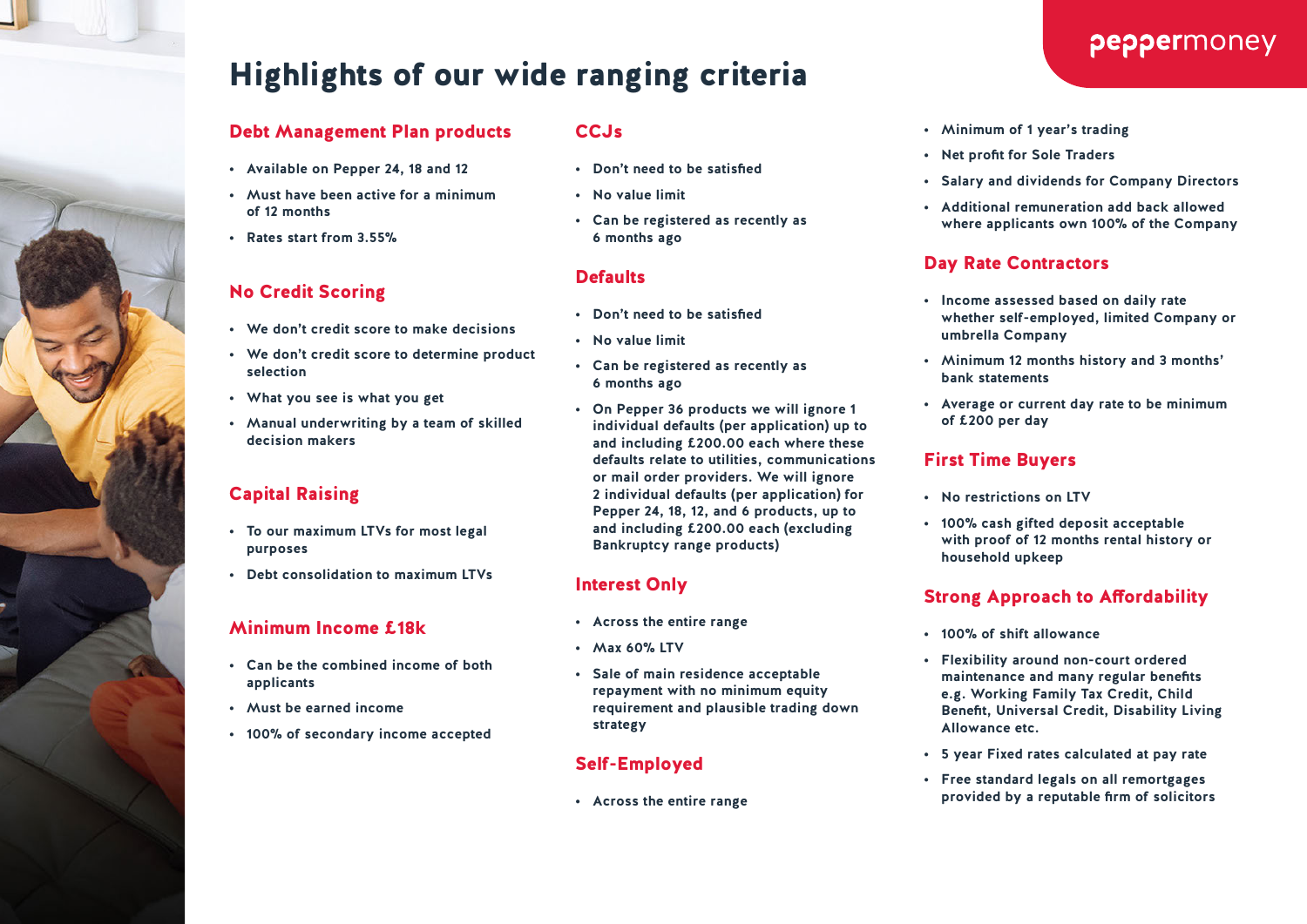# Highlights of our wide ranging criteria

#### Debt Management Plan products

- **• Available on Pepper 24, 18 and 12**
- **• Must have been active for a minimum of 12 months**
- **• Rates start from 3.55%**

#### No Credit Scoring

- **• We don't credit score to make decisions**
- **• We don't credit score to determine product selection**
- **• What you see is what you get**
- **• Manual underwriting by a team of skilled decision makers**

#### Capital Raising

- **• To our maximum LTVs for most legal purposes**
- **• Debt consolidation to maximum LTVs**

#### Minimum Income £18k

- **• Can be the combined income of both applicants**
- **• Must be earned income**
- **• 100% of secondary income accepted**

#### **CCJs**

- **• Don't need to be satisfied**
- **• No value limit**
- **• Can be registered as recently as 6 months ago**

#### **Defaults**

- **• Don't need to be satisfied**
- **• No value limit**
- **• Can be registered as recently as 6 months ago**
- **• On Pepper 36 products we will ignore 1 individual defaults (per application) up to and including £200.00 each where these defaults relate to utilities, communications or mail order providers. We will ignore 2 individual defaults (per application) for Pepper 24, 18, 12, and 6 products, up to and including £200.00 each (excluding Bankruptcy range products)**

#### Interest Only

- **• Across the entire range**
- **• Max 60% LTV**
- **• Sale of main residence acceptable repayment with no minimum equity requirement and plausible trading down strategy**

#### Self-Employed

**• Across the entire range**

#### **• Minimum of 1 year's trading**

- **• Net profit for Sole Traders**
- **• Salary and dividends for Company Directors**
- **• Additional remuneration add back allowed where applicants own 100% of the Company**

#### Day Rate Contractors

- **• Income assessed based on daily rate whether self-employed, limited Company or umbrella Company**
- **• Minimum 12 months history and 3 months' bank statements**
- **• Average or current day rate to be minimum of £200 per day**

#### First Time Buyers

- **• No restrictions on LTV**
- **• 100% cash gifted deposit acceptable with proof of 12 months rental history or household upkeep**

#### Strong Approach to Affordability

- **• 100% of shift allowance**
- **• Flexibility around non-court ordered maintenance and many regular benefits e.g. Working Family Tax Credit, Child Benefit, Universal Credit, Disability Living Allowance etc.**
- **• 5 year Fixed rates calculated at pay rate**
- **• Free standard legals on all remortgages provided by a reputable firm of solicitors**

### peppermoney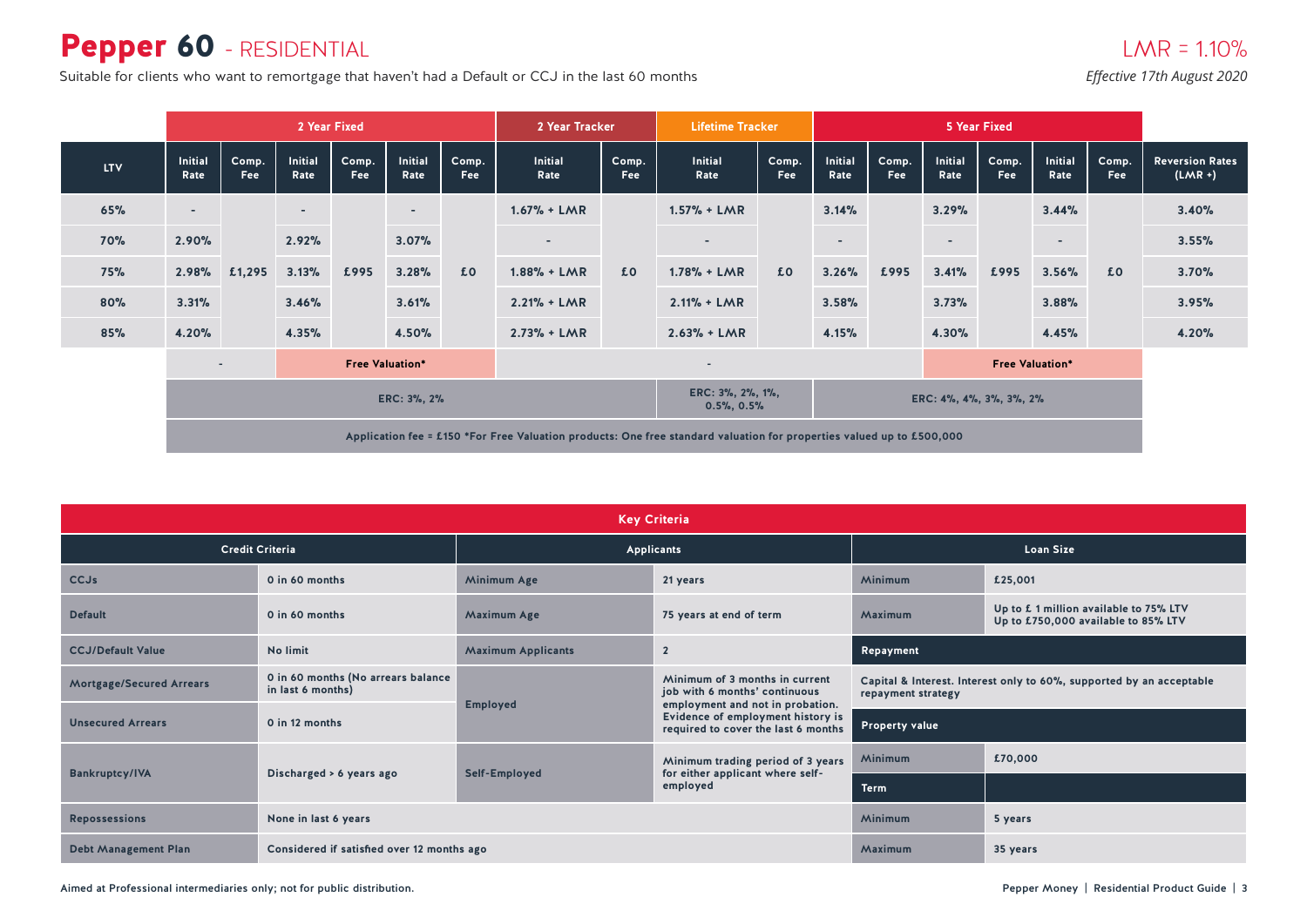### Pepper 60 - RESIDENTIAL

Suitable for clients who want to remortgage that haven't had a Default or CCJ in the last 60 months *Effective 17th August 2020* 

# $LMR = 1.10%$

|            |                          | 2 Year Fixed             |                          |                     |                          |                     | 2 Year Tracker                        |                     | <b>Lifetime Tracker</b>                                                                                               |                        | 5 Year Fixed            |                     |                        |                     |                          |              |                                     |
|------------|--------------------------|--------------------------|--------------------------|---------------------|--------------------------|---------------------|---------------------------------------|---------------------|-----------------------------------------------------------------------------------------------------------------------|------------------------|-------------------------|---------------------|------------------------|---------------------|--------------------------|--------------|-------------------------------------|
| <b>LTV</b> | <b>Initial</b><br>Rate   | Comp.<br>Fee             | <b>Initial</b><br>Rate   | Comp.<br><b>Fee</b> | <b>Initial</b><br>Rate   | Comp.<br><b>Fee</b> | Initial<br>Rate                       | Comp.<br><b>Fee</b> | <b>Initial</b><br>Rate                                                                                                | Comp.<br><b>Fee</b>    | <b>Initial</b><br>Rate  | Comp.<br><b>Fee</b> | <b>Initial</b><br>Rate | Comp.<br><b>Fee</b> | Initial<br>Rate          | Comp.<br>Fee | <b>Reversion Rates</b><br>$(LMR +)$ |
| 65%        | $\overline{\phantom{a}}$ |                          | $\overline{\phantom{a}}$ |                     | $\overline{\phantom{a}}$ |                     | $1.67% + LMR$                         |                     | $1.57\% + LMR$                                                                                                        |                        | 3.14%                   |                     | 3.29%                  |                     | 3.44%                    |              | 3.40%                               |
| <b>70%</b> | 2.90%                    |                          | 2.92%                    |                     | 3.07%                    |                     | $\sim$                                |                     | $\sim$                                                                                                                |                        | $\sim$                  |                     | $\sim$                 |                     | $\overline{\phantom{a}}$ |              | 3.55%                               |
| <b>75%</b> | 2.98%                    | £1,295                   | 3.13%                    | £995                | 3.28%                    | £0                  | $1.88\% + LMR$                        | £0                  | $1.78% + LMR$                                                                                                         | £0                     | 3.26%                   | £995                | 3.41%                  | £995                | 3.56%                    | £0           | 3.70%                               |
| 80%        | 3.31%                    |                          | 3.46%                    |                     | 3.61%                    |                     | $2.21% + LMR$                         |                     | $2.11% + LMR$                                                                                                         |                        | 3.58%                   |                     | 3.73%                  |                     | 3.88%                    |              | 3.95%                               |
| 85%        | 4.20%                    |                          | 4.35%                    |                     | 4.50%                    |                     | $2.73% + LMR$                         |                     | $2.63% + LMR$                                                                                                         |                        | 4.15%                   |                     | 4.30%                  |                     | 4.45%                    |              | 4.20%                               |
|            |                          | $\overline{\phantom{a}}$ |                          |                     | <b>Free Valuation*</b>   |                     | $\overline{\phantom{a}}$              |                     |                                                                                                                       | <b>Free Valuation*</b> |                         |                     |                        |                     |                          |              |                                     |
|            |                          |                          |                          |                     | ERC: 3%, 2%              |                     | ERC: 3%, 2%, 1%,<br>$0.5\%$ , $0.5\%$ |                     |                                                                                                                       |                        | ERC: 4%, 4%, 3%, 3%, 2% |                     |                        |                     |                          |              |                                     |
|            |                          |                          |                          |                     |                          |                     |                                       |                     | Application fee = £150 *For Free Valuation products: One free standard valuation for properties valued up to £500,000 |                        |                         |                     |                        |                     |                          |              |                                     |

| <b>Key Criteria</b>             |                                                         |                           |                                                                                                     |                                                                                            |                                                                              |  |  |  |  |  |  |  |
|---------------------------------|---------------------------------------------------------|---------------------------|-----------------------------------------------------------------------------------------------------|--------------------------------------------------------------------------------------------|------------------------------------------------------------------------------|--|--|--|--|--|--|--|
|                                 | <b>Credit Criteria</b>                                  |                           | Applicants                                                                                          |                                                                                            | <b>Loan Size</b>                                                             |  |  |  |  |  |  |  |
| <b>CCJs</b>                     | 0 in 60 months                                          | Minimum Age               | 21 years                                                                                            | <b>Minimum</b>                                                                             | £25,001                                                                      |  |  |  |  |  |  |  |
| <b>Default</b>                  | 0 in 60 months                                          | Maximum Age               | 75 years at end of term                                                                             | Maximum                                                                                    | Up to £1 million available to 75% LTV<br>Up to £750,000 available to 85% LTV |  |  |  |  |  |  |  |
| <b>CCJ/Default Value</b>        | No limit                                                | <b>Maximum Applicants</b> | $\overline{2}$                                                                                      | Repayment                                                                                  |                                                                              |  |  |  |  |  |  |  |
| <b>Mortgage/Secured Arrears</b> | 0 in 60 months (No arrears balance<br>in last 6 months) | <b>Employed</b>           | Minimum of 3 months in current<br>job with 6 months' continuous<br>employment and not in probation. | Capital & Interest. Interest only to 60%, supported by an acceptable<br>repayment strategy |                                                                              |  |  |  |  |  |  |  |
| <b>Unsecured Arrears</b>        | 0 in 12 months                                          |                           | Evidence of employment history is<br>required to cover the last 6 months                            | Property value                                                                             |                                                                              |  |  |  |  |  |  |  |
|                                 |                                                         |                           | Minimum trading period of 3 years                                                                   | <b>Minimum</b>                                                                             | £70,000                                                                      |  |  |  |  |  |  |  |
| <b>Bankruptcy/IVA</b>           | Discharged > 6 years ago                                | Self-Employed             | for either applicant where self-<br>employed                                                        | Term                                                                                       |                                                                              |  |  |  |  |  |  |  |
| <b>Repossessions</b>            | None in last 6 years                                    |                           |                                                                                                     | <b>Minimum</b>                                                                             | 5 years                                                                      |  |  |  |  |  |  |  |
| <b>Debt Management Plan</b>     | Considered if satisfied over 12 months ago              |                           |                                                                                                     | Maximum                                                                                    | 35 years                                                                     |  |  |  |  |  |  |  |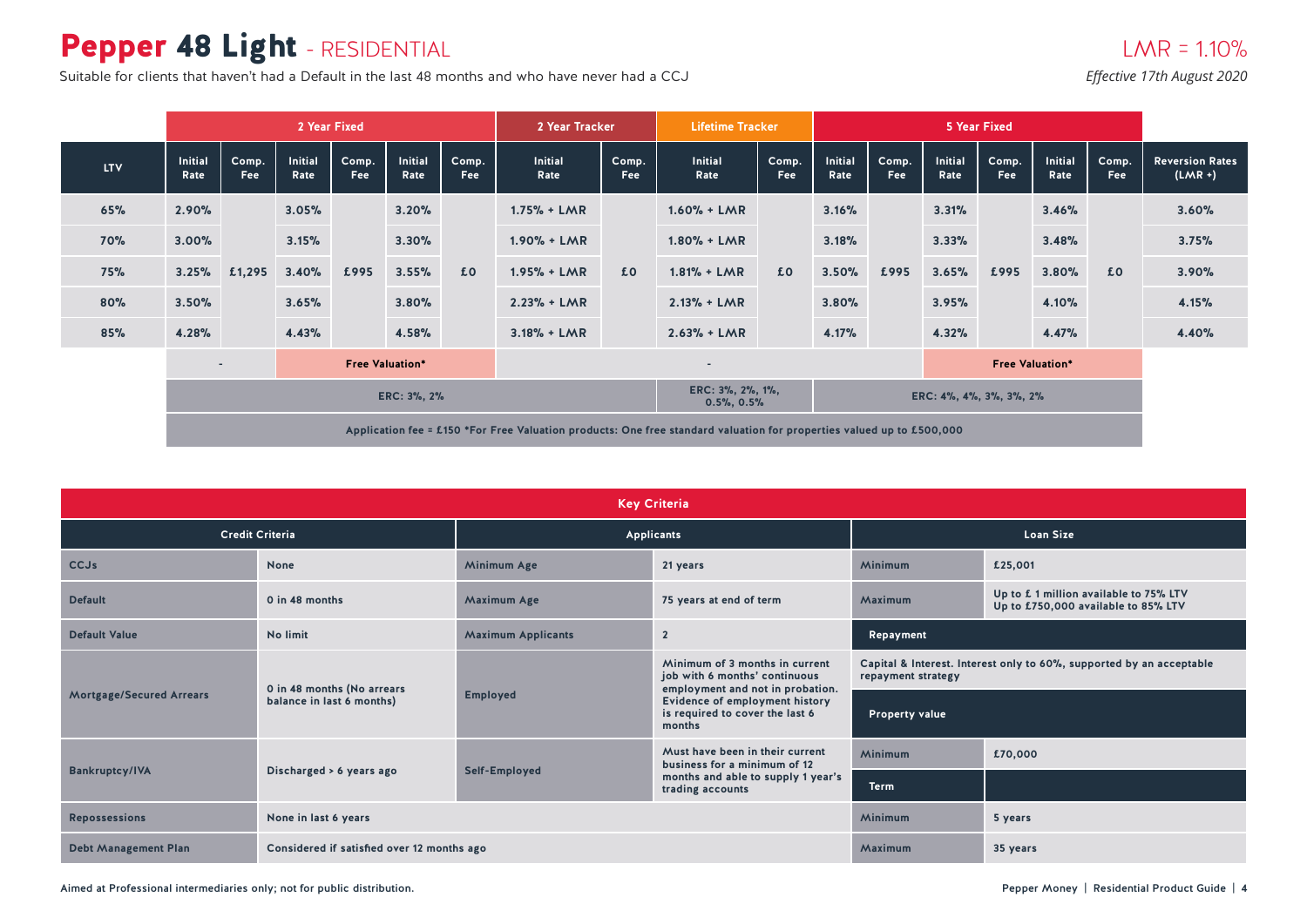# Pepper 48 Light - RESIDENTIAL

Suitable for clients that haven't had a Default in the last 48 months and who have never had a CCJ

#### *Effective 17th August 2020*

|            |                 | 2 Year Fixed                                       |                        |              |                        |                          | 2 Year Tracker                                                                                                        |              | <b>Lifetime Tracker</b> |                         | <b>5 Year Fixed</b> |                     |                        |              |                        |              |                                     |
|------------|-----------------|----------------------------------------------------|------------------------|--------------|------------------------|--------------------------|-----------------------------------------------------------------------------------------------------------------------|--------------|-------------------------|-------------------------|---------------------|---------------------|------------------------|--------------|------------------------|--------------|-------------------------------------|
| <b>LTV</b> | Initial<br>Rate | Comp.<br>Fee                                       | <b>Initial</b><br>Rate | Comp.<br>Fee | <b>Initial</b><br>Rate | Comp.<br><b>Fee</b>      | <b>Initial</b><br>Rate                                                                                                | Comp.<br>Fee | <b>Initial</b><br>Rate  | Comp.<br>Fee            | Initial<br>Rate     | Comp.<br><b>Fee</b> | <b>Initial</b><br>Rate | Comp.<br>Fee | <b>Initial</b><br>Rate | Comp.<br>Fee | <b>Reversion Rates</b><br>$(LMR +)$ |
| 65%        | 2.90%           |                                                    | 3.05%                  |              | 3.20%                  |                          | $1.75% + LMR$                                                                                                         |              | $1.60% + LMR$           |                         | 3.16%               |                     | 3.31%                  |              | 3.46%                  |              | 3.60%                               |
| <b>70%</b> | 3.00%           |                                                    | 3.15%                  |              | 3.30%                  |                          | $1.90% + LMR$                                                                                                         | £0           | $1.80% + LMR$           | £0                      | 3.18%               |                     | 3.33%                  |              | 3.48%                  |              | 3.75%                               |
| 75%        | 3.25%           | £1,295                                             | 3.40%                  | £995         | 3.55%                  | £0                       | $1.95% + LMR$                                                                                                         |              | $1.81% + LMR$           |                         | 3.50%               | £995                | 3.65%                  | £995         | 3.80%                  | £0           | 3.90%                               |
| 80%        | 3.50%           |                                                    | 3.65%                  |              | 3.80%                  |                          | $2.23% + LMR$                                                                                                         |              | $2.13% + LMR$           |                         | 3.80%               |                     | 3.95%                  |              | 4.10%                  |              | 4.15%                               |
| 85%        | 4.28%           |                                                    | 4.43%                  |              | 4.58%                  |                          | $3.18% + LMR$                                                                                                         |              | $2.63% + LMR$           |                         | 4.17%               |                     | 4.32%                  |              | 4.47%                  |              | 4.40%                               |
|            |                 | <b>Free Valuation*</b><br>$\overline{\phantom{a}}$ |                        |              |                        | $\overline{\phantom{a}}$ |                                                                                                                       |              | <b>Free Valuation*</b>  |                         |                     |                     |                        |              |                        |              |                                     |
|            | ERC: 3%, 2%     |                                                    |                        |              |                        |                          | ERC: 3%, 2%, 1%,<br>$0.5\%$ , $0.5\%$                                                                                 |              |                         | ERC: 4%, 4%, 3%, 3%, 2% |                     |                     |                        |              |                        |              |                                     |
|            |                 |                                                    |                        |              |                        |                          | Application fee = £150 *For Free Valuation products: One free standard valuation for properties valued up to £500,000 |              |                         |                         |                     |                     |                        |              |                        |              |                                     |

|                                 | <b>Key Criteria</b>                        |                           |                                                                                                     |                     |                                                                              |  |  |  |  |  |  |  |  |
|---------------------------------|--------------------------------------------|---------------------------|-----------------------------------------------------------------------------------------------------|---------------------|------------------------------------------------------------------------------|--|--|--|--|--|--|--|--|
|                                 | <b>Credit Criteria</b>                     |                           | Applicants                                                                                          |                     | <b>Loan Size</b>                                                             |  |  |  |  |  |  |  |  |
| <b>CCJs</b>                     | <b>None</b>                                | Minimum Age               | 21 years                                                                                            | Minimum             | £25,001                                                                      |  |  |  |  |  |  |  |  |
| <b>Default</b>                  | 0 in 48 months                             | Maximum Age               | 75 years at end of term                                                                             | Maximum             | Up to £1 million available to 75% LTV<br>Up to £750,000 available to 85% LTV |  |  |  |  |  |  |  |  |
| <b>Default Value</b>            | No limit                                   | <b>Maximum Applicants</b> | $\overline{2}$                                                                                      | Repayment           |                                                                              |  |  |  |  |  |  |  |  |
|                                 | 0 in 48 months (No arrears                 |                           | Minimum of 3 months in current<br>job with 6 months' continuous<br>employment and not in probation. | repayment strategy  | Capital & Interest. Interest only to 60%, supported by an acceptable         |  |  |  |  |  |  |  |  |
| <b>Mortgage/Secured Arrears</b> | balance in last 6 months)                  | <b>Employed</b>           | Evidence of employment history<br>is required to cover the last 6<br>months                         | Property value      |                                                                              |  |  |  |  |  |  |  |  |
|                                 |                                            |                           | Must have been in their current<br>business for a minimum of 12                                     | Minimum             | £70,000                                                                      |  |  |  |  |  |  |  |  |
| <b>Bankruptcy/IVA</b>           | Discharged > 6 years ago                   | Self-Employed             | months and able to supply 1 year's<br>trading accounts                                              | <b>Term</b>         |                                                                              |  |  |  |  |  |  |  |  |
| <b>Repossessions</b>            | None in last 6 years                       |                           |                                                                                                     | Minimum             | 5 years                                                                      |  |  |  |  |  |  |  |  |
| <b>Debt Management Plan</b>     | Considered if satisfied over 12 months ago |                           |                                                                                                     | Maximum<br>35 years |                                                                              |  |  |  |  |  |  |  |  |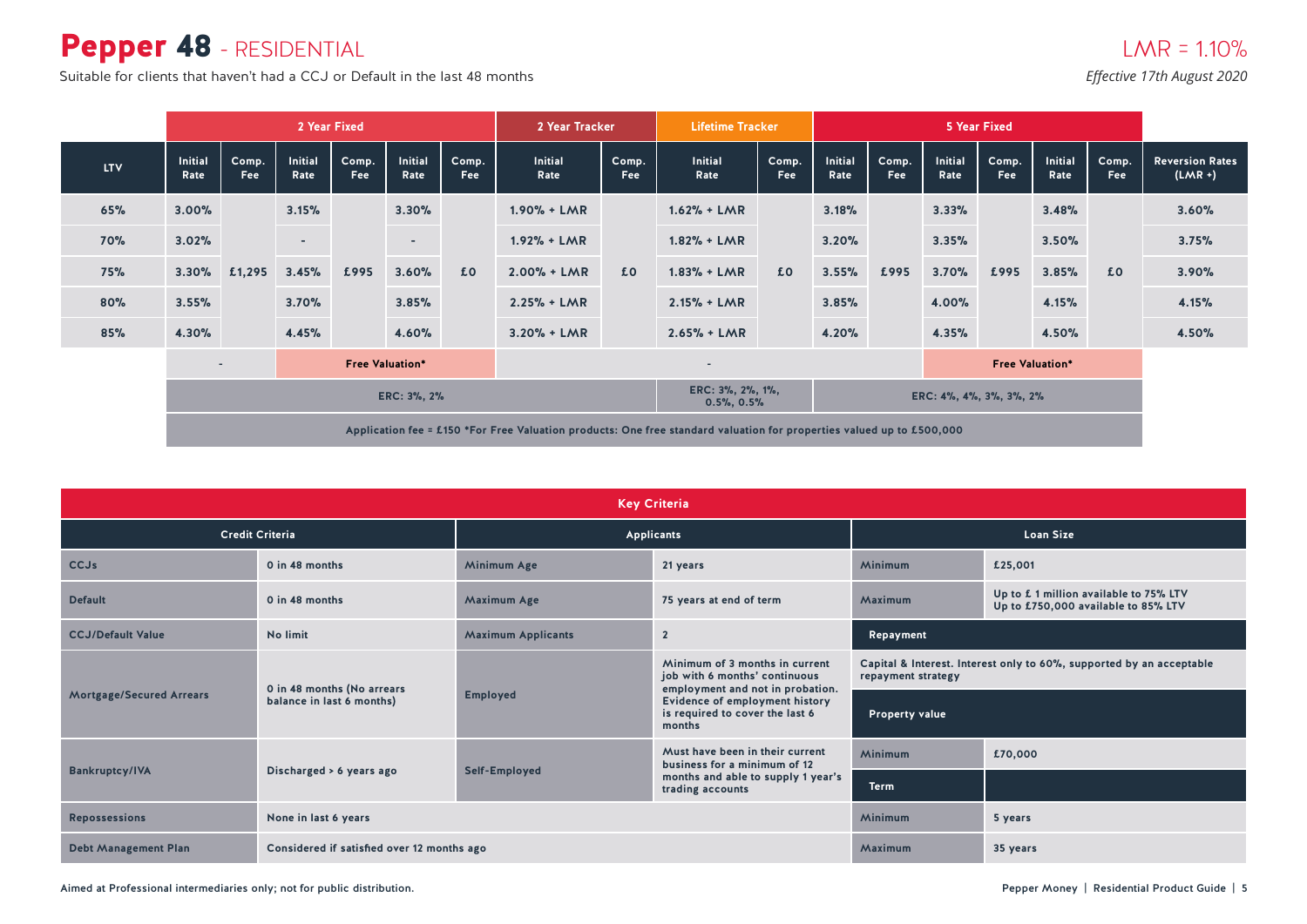### Pepper 48 - RESIDENTIAL

Suitable for clients that haven't had a CCJ or Default in the last 48 months *Effective 17th August 2020* 

|            |                        | 2 Year Fixed                                       |                          |              |                          |                     | 2 Year Tracker                                                                                                        |              | <b>Lifetime Tracker</b> |                        | 5 Year Fixed            |              |                        |              |                        |                     |                                     |
|------------|------------------------|----------------------------------------------------|--------------------------|--------------|--------------------------|---------------------|-----------------------------------------------------------------------------------------------------------------------|--------------|-------------------------|------------------------|-------------------------|--------------|------------------------|--------------|------------------------|---------------------|-------------------------------------|
| <b>LTV</b> | <b>Initial</b><br>Rate | Comp.<br>Fee                                       | <b>Initial</b><br>Rate   | Comp.<br>Fee | <b>Initial</b><br>Rate   | Comp.<br><b>Fee</b> | <b>Initial</b><br>Rate                                                                                                | Comp.<br>Fee | <b>Initial</b><br>Rate  | Comp.<br>Fee           | <b>Initial</b><br>Rate  | Comp.<br>Fee | <b>Initial</b><br>Rate | Comp.<br>Fee | <b>Initial</b><br>Rate | Comp.<br><b>Fee</b> | <b>Reversion Rates</b><br>$(LMR +)$ |
| 65%        | 3.00%                  |                                                    | 3.15%                    |              | 3.30%                    |                     | $1.90% + LMR$                                                                                                         |              | $1.62% + LMR$           |                        | 3.18%                   |              | 3.33%                  |              | 3.48%                  |                     | 3.60%                               |
| <b>70%</b> | 3.02%                  |                                                    | $\overline{\phantom{a}}$ |              | $\overline{\phantom{a}}$ |                     | $1.92% + LMR$<br>$2.00\% + LMR$                                                                                       |              | $1.82% + LMR$           | £0                     | 3.20%                   |              | 3.35%                  |              | 3.50%                  |                     | 3.75%                               |
| <b>75%</b> | 3.30%                  | £1,295                                             | 3.45%                    | £995         | 3.60%                    | £0                  |                                                                                                                       | £0           | $1.83% + LMR$           |                        | 3.55%                   | £995         | 3.70%                  | £995         | 3.85%                  | £0                  | 3.90%                               |
| 80%        | 3.55%                  |                                                    | 3.70%                    |              | 3.85%                    |                     | $2.25% + LMR$                                                                                                         |              | $2.15% + LMR$           |                        | 3.85%                   |              | 4.00%                  |              | 4.15%                  |                     | 4.15%                               |
| 85%        | 4.30%                  |                                                    | 4.45%                    |              | 4.60%                    |                     | $3.20% + LMR$                                                                                                         |              | $2.65% + LMR$           |                        | 4.20%                   |              | 4.35%                  |              | 4.50%                  |                     | 4.50%                               |
|            |                        | <b>Free Valuation*</b><br>$\overline{\phantom{a}}$ |                          |              |                          |                     | ٠                                                                                                                     |              |                         | <b>Free Valuation*</b> |                         |              |                        |              |                        |                     |                                     |
|            | ERC: 3%, 2%            |                                                    |                          |              |                          |                     | ERC: 3%, 2%, 1%,<br>$0.5\%$ , $0.5\%$                                                                                 |              |                         |                        | ERC: 4%, 4%, 3%, 3%, 2% |              |                        |              |                        |                     |                                     |
|            |                        |                                                    |                          |              |                          |                     | Application fee = £150 *For Free Valuation products: One free standard valuation for properties valued up to £500,000 |              |                         |                        |                         |              |                        |              |                        |                     |                                     |

|                                                   | <b>Key Criteria</b>                        |                                                                         |                                                                                                     |                     |                                                                               |  |  |  |  |  |  |  |  |
|---------------------------------------------------|--------------------------------------------|-------------------------------------------------------------------------|-----------------------------------------------------------------------------------------------------|---------------------|-------------------------------------------------------------------------------|--|--|--|--|--|--|--|--|
|                                                   | <b>Credit Criteria</b>                     |                                                                         | Applicants                                                                                          |                     | <b>Loan Size</b>                                                              |  |  |  |  |  |  |  |  |
| <b>CCJs</b>                                       | 0 in 48 months                             | Minimum Age                                                             | 21 years                                                                                            | Minimum             | £25,001                                                                       |  |  |  |  |  |  |  |  |
| <b>Default</b>                                    | 0 in 48 months                             | <b>Maximum Age</b>                                                      | 75 years at end of term                                                                             | Maximum             | Up to £ 1 million available to 75% LTV<br>Up to £750,000 available to 85% LTV |  |  |  |  |  |  |  |  |
| <b>CCJ/Default Value</b>                          | No limit                                   | <b>Maximum Applicants</b>                                               | $\overline{2}$                                                                                      | Repayment           |                                                                               |  |  |  |  |  |  |  |  |
|                                                   | 0 in 48 months (No arrears                 |                                                                         | Minimum of 3 months in current<br>job with 6 months' continuous<br>employment and not in probation. | repayment strategy  | Capital & Interest. Interest only to 60%, supported by an acceptable          |  |  |  |  |  |  |  |  |
| <b>Mortgage/Secured Arrears</b>                   | balance in last 6 months)                  | <b>Employed</b>                                                         | Evidence of employment history<br>is required to cover the last 6<br>months                         | Property value      |                                                                               |  |  |  |  |  |  |  |  |
|                                                   |                                            |                                                                         | Must have been in their current<br>business for a minimum of 12                                     | <b>Minimum</b>      | £70,000                                                                       |  |  |  |  |  |  |  |  |
| <b>Bankruptcy/IVA</b><br>Discharged > 6 years ago |                                            | Self-Employed<br>months and able to supply 1 year's<br>trading accounts |                                                                                                     | <b>Term</b>         |                                                                               |  |  |  |  |  |  |  |  |
| <b>Repossessions</b>                              | None in last 6 years                       |                                                                         |                                                                                                     | Minimum             | 5 years                                                                       |  |  |  |  |  |  |  |  |
| <b>Debt Management Plan</b>                       | Considered if satisfied over 12 months ago |                                                                         |                                                                                                     | Maximum<br>35 years |                                                                               |  |  |  |  |  |  |  |  |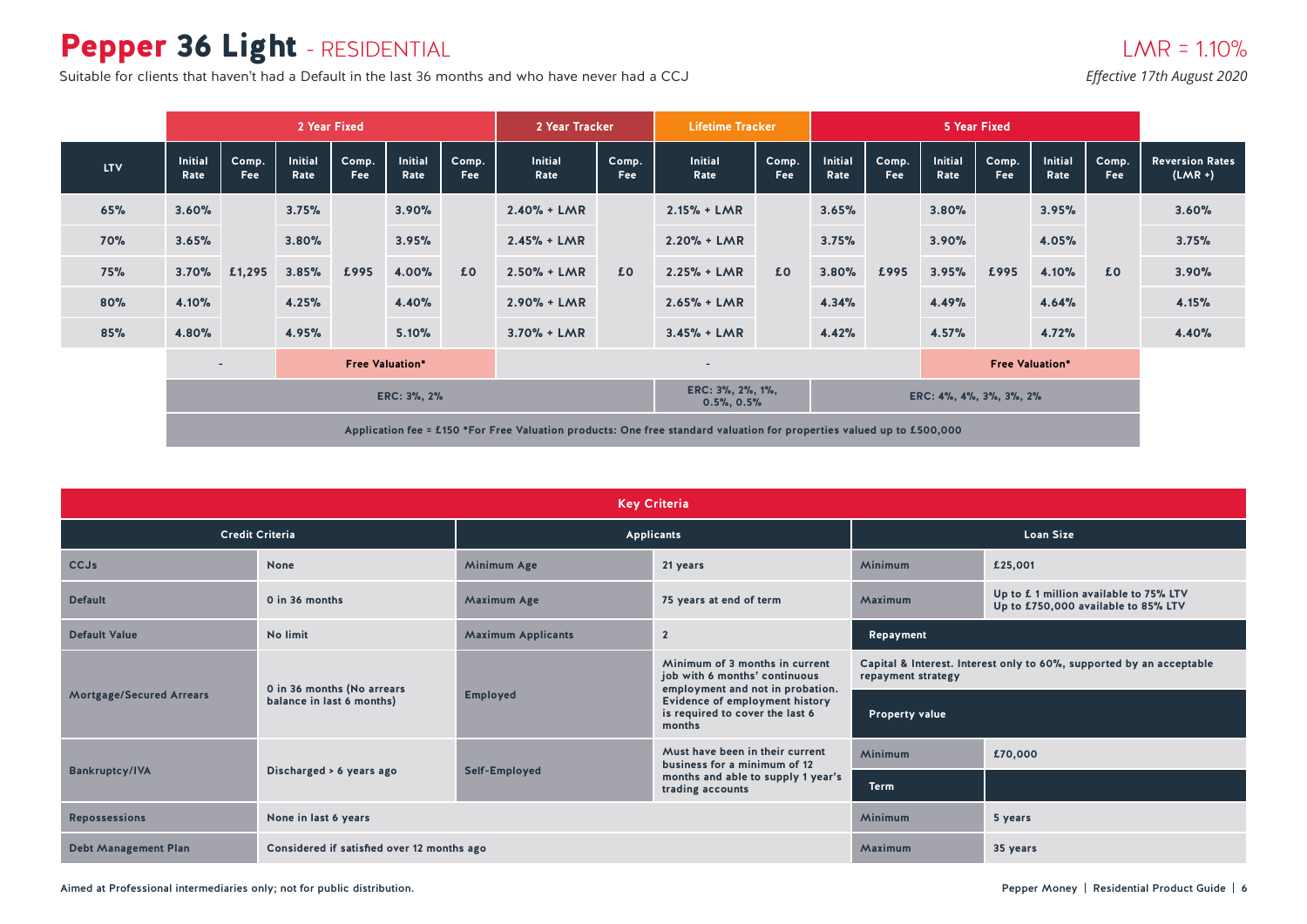# Pepper 36 Light - RESIDENTIAL

Suitable for clients that haven't had a Default in the last 36 months and who have never had a CCJ *Effective 17th August 2020* 

|            |                        | 2 Year Fixed                                       |                        |              |                        |                          | 2 Year Tracker                                                                                                        |              | <b>Lifetime Tracker</b> |                         | 5 Year Fixed           |              |                 |              |                        |                     |                                     |  |       |
|------------|------------------------|----------------------------------------------------|------------------------|--------------|------------------------|--------------------------|-----------------------------------------------------------------------------------------------------------------------|--------------|-------------------------|-------------------------|------------------------|--------------|-----------------|--------------|------------------------|---------------------|-------------------------------------|--|-------|
| <b>LTV</b> | <b>Initial</b><br>Rate | Comp.<br>Fee                                       | <b>Initial</b><br>Rate | Comp.<br>Fee | <b>Initial</b><br>Rate | Comp.<br><b>Fee</b>      | <b>Initial</b><br>Rate                                                                                                | Comp.<br>Fee | <b>Initial</b><br>Rate  | Comp.<br><b>Fee</b>     | <b>Initial</b><br>Rate | Comp.<br>Fee | Initial<br>Rate | Comp.<br>Fee | <b>Initial</b><br>Rate | Comp.<br><b>Fee</b> | <b>Reversion Rates</b><br>$(LMR +)$ |  |       |
| 65%        | 3.60%                  |                                                    | 3.75%                  |              | 3.90%                  |                          | $2.40% + LMR$                                                                                                         |              | $2.15% + LMR$           |                         | 3.65%                  |              | 3.80%           |              | 3.95%                  |                     | 3.60%                               |  |       |
| <b>70%</b> | 3.65%                  |                                                    | 3.80%                  |              | 3.95%                  |                          | $2.45% + LMR$                                                                                                         |              | $2.20% + LMR$           | £0                      | 3.75%                  |              | 3.90%           |              | 4.05%                  |                     | 3.75%                               |  |       |
| 75%        | 3.70%                  | £1,295                                             | 3.85%                  | £995         | 4.00%                  | £0                       | $2.50% + LMR$                                                                                                         | £0           | $2.25% + LMR$           |                         | 3.80%                  | £995         | 3.95%           | £995         | 4.10%                  | £0                  | 3.90%                               |  |       |
| 80%        | 4.10%                  |                                                    | 4.25%                  |              | 4.40%                  |                          | $2.90% + LMR$                                                                                                         |              | $2.65% + LMR$           |                         | 4.34%                  |              | 4.49%           |              | 4.64%                  |                     | 4.15%                               |  |       |
| 85%        | 4.80%                  |                                                    |                        |              | 4.95%                  |                          | 5.10%                                                                                                                 |              | $3.70% + LMR$           |                         | $3.45% + LMR$          |              | 4.42%           |              | 4.57%                  |                     | 4.72%                               |  | 4.40% |
|            |                        | <b>Free Valuation*</b><br>$\overline{\phantom{a}}$ |                        |              |                        | $\overline{\phantom{a}}$ |                                                                                                                       |              | <b>Free Valuation*</b>  |                         |                        |              |                 |              |                        |                     |                                     |  |       |
|            | ERC: 3%, 2%            |                                                    |                        |              |                        |                          | ERC: 3%, 2%, 1%,<br>$0.5\%$ , $0.5\%$                                                                                 |              |                         | ERC: 4%, 4%, 3%, 3%, 2% |                        |              |                 |              |                        |                     |                                     |  |       |
|            |                        |                                                    |                        |              |                        |                          | Application fee = £150 *For Free Valuation products: One free standard valuation for properties valued up to £500,000 |              |                         |                         |                        |              |                 |              |                        |                     |                                     |  |       |

|                                 | <b>Key Criteria</b>                        |                           |                                                                                                     |                       |                                                                               |  |  |  |  |  |  |  |  |
|---------------------------------|--------------------------------------------|---------------------------|-----------------------------------------------------------------------------------------------------|-----------------------|-------------------------------------------------------------------------------|--|--|--|--|--|--|--|--|
|                                 | <b>Credit Criteria</b>                     |                           | Applicants                                                                                          |                       | <b>Loan Size</b>                                                              |  |  |  |  |  |  |  |  |
| <b>CCJs</b>                     | <b>None</b>                                | Minimum Age               | 21 years                                                                                            | Minimum               | £25,001                                                                       |  |  |  |  |  |  |  |  |
| <b>Default</b>                  | 0 in 36 months                             | <b>Maximum Age</b>        | 75 years at end of term                                                                             | Maximum               | Up to £ 1 million available to 75% LTV<br>Up to £750,000 available to 85% LTV |  |  |  |  |  |  |  |  |
| <b>Default Value</b>            | No limit                                   | <b>Maximum Applicants</b> | $\overline{2}$                                                                                      | Repayment             |                                                                               |  |  |  |  |  |  |  |  |
|                                 | 0 in 36 months (No arrears                 |                           | Minimum of 3 months in current<br>job with 6 months' continuous<br>employment and not in probation. | repayment strategy    | Capital & Interest. Interest only to 60%, supported by an acceptable          |  |  |  |  |  |  |  |  |
| <b>Mortgage/Secured Arrears</b> | balance in last 6 months)                  | <b>Employed</b>           | Evidence of employment history<br>is required to cover the last 6<br>months                         | <b>Property value</b> |                                                                               |  |  |  |  |  |  |  |  |
|                                 |                                            |                           | Must have been in their current<br>business for a minimum of 12                                     | <b>Minimum</b>        | £70,000                                                                       |  |  |  |  |  |  |  |  |
| <b>Bankruptcy/IVA</b>           | Discharged > 6 years ago                   | Self-Employed             | months and able to supply 1 year's<br>trading accounts                                              | <b>Term</b>           |                                                                               |  |  |  |  |  |  |  |  |
| <b>Repossessions</b>            | None in last 6 years                       |                           |                                                                                                     | Minimum               | 5 years                                                                       |  |  |  |  |  |  |  |  |
| <b>Debt Management Plan</b>     | Considered if satisfied over 12 months ago |                           |                                                                                                     | Maximum<br>35 years   |                                                                               |  |  |  |  |  |  |  |  |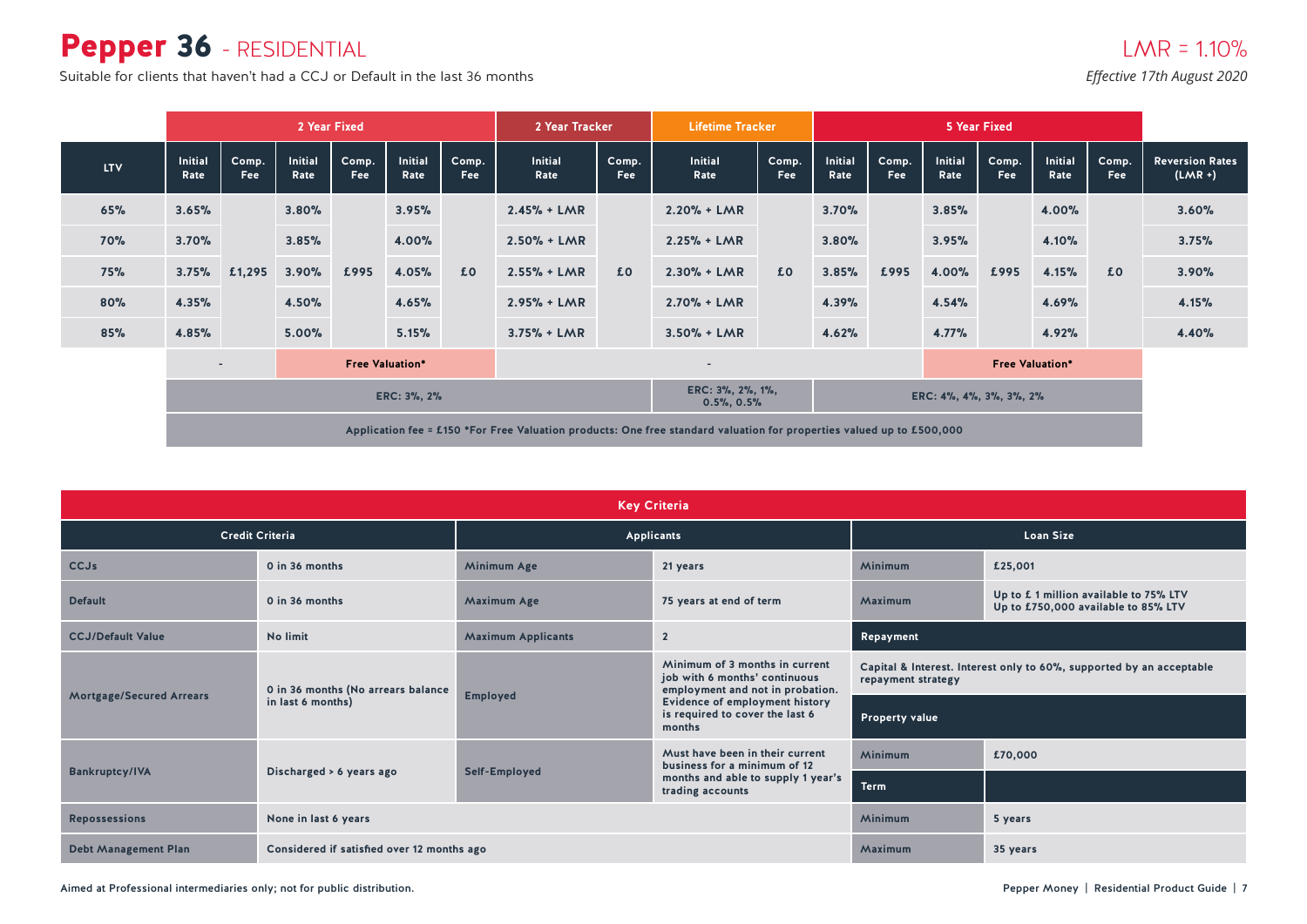### Pepper 36 - RESIDENTIAL

Suitable for clients that haven't had a CCJ or Default in the last 36 months *Effective 17th August 2020* 

|            |                        |                          |                        | 2 Year Fixed |                        |               | 2 Year Tracker                        |                | <b>Lifetime Tracker</b>                                                                                               |                         | 5 Year Fixed           |                     |                        |                     |                        |              |                                     |
|------------|------------------------|--------------------------|------------------------|--------------|------------------------|---------------|---------------------------------------|----------------|-----------------------------------------------------------------------------------------------------------------------|-------------------------|------------------------|---------------------|------------------------|---------------------|------------------------|--------------|-------------------------------------|
| <b>LTV</b> | <b>Initial</b><br>Rate | Comp.<br>Fee             | <b>Initial</b><br>Rate | Comp.<br>Fee | <b>Initial</b><br>Rate | Comp.<br>Fee: | <b>Initial</b><br>Rate                | Comp.<br>Fee   | <b>Initial</b><br>Rate                                                                                                | Comp.<br><b>Fee</b>     | <b>Initial</b><br>Rate | Comp.<br><b>Fee</b> | <b>Initial</b><br>Rate | Comp.<br><b>Fee</b> | <b>Initial</b><br>Rate | Comp.<br>Fee | <b>Reversion Rates</b><br>$(LMR +)$ |
| 65%        | 3.65%                  |                          | 3.80%                  |              | 3.95%                  |               | $2.45% + LMR$                         |                | $2.20% + LMR$                                                                                                         |                         | 3.70%                  |                     | 3.85%                  |                     | 4.00%                  |              | 3.60%                               |
| <b>70%</b> | 3.70%                  |                          | 3.85%                  |              | 4.00%                  |               | $2.50% + LMR$                         | f <sub>0</sub> | $2.25% + LMR$                                                                                                         | £0                      | 3.80%                  |                     | 3.95%                  |                     | 4.10%                  |              | 3.75%                               |
| 75%        | 3.75%                  | £1,295                   | 3.90%                  | £995         | 4.05%                  | £0            | $2.55% + LMR$                         |                | $2.30% + LMR$                                                                                                         |                         | 3.85%                  | £995                | 4.00%                  | £995                | 4.15%                  | £0           | 3.90%                               |
| 80%        | 4.35%                  |                          | 4.50%                  |              | 4.65%                  |               | $2.95% + LMR$                         |                | $2.70% + LMR$                                                                                                         |                         | 4.39%                  |                     | 4.54%                  |                     | 4.69%                  |              | 4.15%                               |
| 85%        | 4.85%                  |                          | 5.00%                  |              | 5.15%                  |               | $3.75% + LMR$                         |                | $3.50% + LMR$                                                                                                         |                         | 4.62%                  |                     | 4.77%                  |                     | 4.92%                  |              | 4.40%                               |
|            |                        | $\overline{\phantom{a}}$ |                        |              | <b>Free Valuation*</b> |               | $\overline{\phantom{a}}$              |                |                                                                                                                       | <b>Free Valuation*</b>  |                        |                     |                        |                     |                        |              |                                     |
|            | ERC: 3%, 2%            |                          |                        |              |                        |               | ERC: 3%, 2%, 1%,<br>$0.5\%$ , $0.5\%$ |                |                                                                                                                       | ERC: 4%, 4%, 3%, 3%, 2% |                        |                     |                        |                     |                        |              |                                     |
|            |                        |                          |                        |              |                        |               |                                       |                | Application fee = £150 *For Free Valuation products: One free standard valuation for properties valued up to £500,000 |                         |                        |                     |                        |                     |                        |              |                                     |

| <b>Key Criteria</b>             |                                            |                                               |                                                                                                     |                       |                                                                              |  |  |  |  |  |  |  |
|---------------------------------|--------------------------------------------|-----------------------------------------------|-----------------------------------------------------------------------------------------------------|-----------------------|------------------------------------------------------------------------------|--|--|--|--|--|--|--|
|                                 | <b>Credit Criteria</b>                     |                                               | Applicants                                                                                          |                       | <b>Loan Size</b>                                                             |  |  |  |  |  |  |  |
| <b>CCJs</b>                     | 0 in 36 months                             | Minimum<br>Minimum Age<br>£25,001<br>21 years |                                                                                                     |                       |                                                                              |  |  |  |  |  |  |  |
| <b>Default</b>                  | 0 in 36 months                             | <b>Maximum Age</b>                            | 75 years at end of term                                                                             | Maximum               | Up to £1 million available to 75% LTV<br>Up to £750,000 available to 85% LTV |  |  |  |  |  |  |  |
| <b>CCJ/Default Value</b>        | No limit                                   | <b>Maximum Applicants</b>                     | $\overline{2}$                                                                                      | Repayment             |                                                                              |  |  |  |  |  |  |  |
|                                 | 0 in 36 months (No arrears balance         |                                               | Minimum of 3 months in current<br>job with 6 months' continuous<br>employment and not in probation. | repayment strategy    | Capital & Interest. Interest only to 60%, supported by an acceptable         |  |  |  |  |  |  |  |
| <b>Mortgage/Secured Arrears</b> | in last 6 months)                          | <b>Employed</b>                               | <b>Evidence of employment history</b><br>is required to cover the last 6<br>months                  | <b>Property value</b> |                                                                              |  |  |  |  |  |  |  |
|                                 |                                            |                                               | Must have been in their current<br>business for a minimum of 12                                     | Minimum               | £70,000                                                                      |  |  |  |  |  |  |  |
| <b>Bankruptcy/IVA</b>           | Discharged > 6 years ago                   | Self-Employed                                 | months and able to supply 1 year's<br>trading accounts                                              | <b>Term</b>           |                                                                              |  |  |  |  |  |  |  |
| <b>Repossessions</b>            | None in last 6 years                       |                                               |                                                                                                     | Minimum               | 5 years                                                                      |  |  |  |  |  |  |  |
| <b>Debt Management Plan</b>     | Considered if satisfied over 12 months ago |                                               |                                                                                                     | Maximum<br>35 years   |                                                                              |  |  |  |  |  |  |  |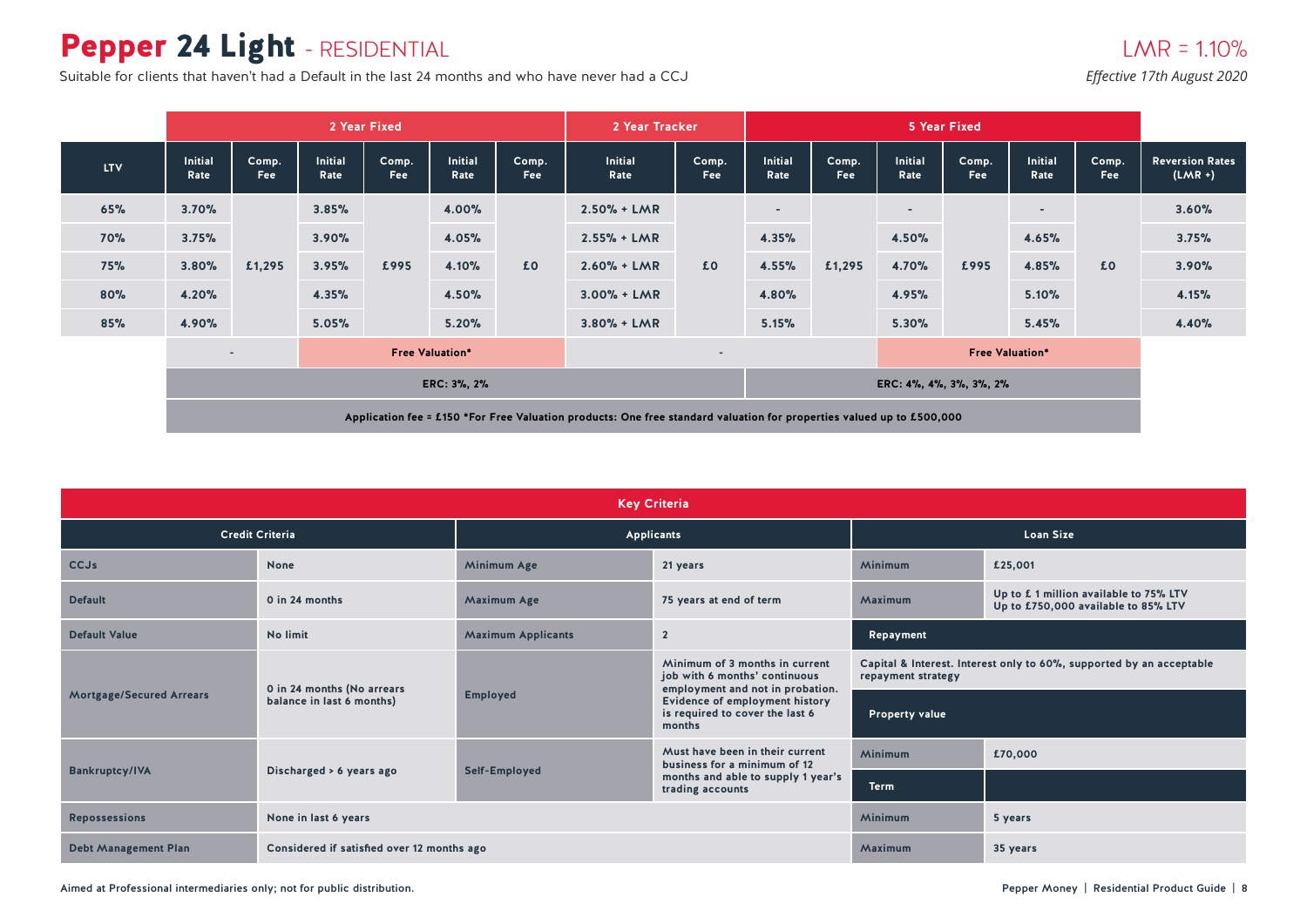# Pepper 24 Light - RESIDENTIAL

Suitable for clients that haven't had a Default in the last 24 months and who have never had a CCJ *Effective 17th August 2020* 

### $LMR = 1.10%$

|            |                                                                                                                       | 2 Year Fixed             |                        |              |                        |              |                        | 2 Year Tracker          |                          |              |                        | 5 Year Fixed        |                          |                     |                                     |  |
|------------|-----------------------------------------------------------------------------------------------------------------------|--------------------------|------------------------|--------------|------------------------|--------------|------------------------|-------------------------|--------------------------|--------------|------------------------|---------------------|--------------------------|---------------------|-------------------------------------|--|
| <b>LTV</b> | <b>Initial</b><br>Rate                                                                                                | Comp.<br>Fee             | <b>Initial</b><br>Rate | Comp.<br>Fee | <b>Initial</b><br>Rate | Comp.<br>Fee | <b>Initial</b><br>Rate | Comp.<br>Fee            | <b>Initial</b><br>Rate   | Comp.<br>Fee | <b>Initial</b><br>Rate | Comp.<br><b>Fee</b> | <b>Initial</b><br>Rate   | Comp.<br><b>Fee</b> | <b>Reversion Rates</b><br>$(LMR +)$ |  |
| 65%        | 3.70%                                                                                                                 |                          | 3.85%                  |              | 4.00%                  |              | $2.50% + LMR$          |                         | $\overline{\phantom{0}}$ |              | $\sim$                 |                     | $\overline{\phantom{a}}$ |                     | 3.60%                               |  |
| <b>70%</b> | 3.75%                                                                                                                 |                          | 3.90%                  |              | 4.05%                  |              | $2.55% + LMR$          |                         | 4.35%                    |              | 4.50%                  |                     | 4.65%                    |                     | 3.75%                               |  |
| <b>75%</b> | 3.80%                                                                                                                 | £1,295                   | 3.95%                  | £995         | 4.10%                  | £0           | $2.60% + LMR$          | £0                      | 4.55%                    | £1,295       | 4.70%                  | £995                | 4.85%                    | £0                  | 3.90%                               |  |
| 80%        | 4.20%                                                                                                                 |                          | 4.35%                  |              | 4.50%                  |              | $3.00\% + LMR$         |                         | 4.80%                    |              | 4.95%                  |                     | 5.10%                    |                     | 4.15%                               |  |
| 85%        | 4.90%                                                                                                                 |                          | 5.05%                  |              | 5.20%                  |              | $3.80% + LMR$          |                         | 5.15%                    |              | 5.30%                  |                     | 5.45%                    |                     | 4.40%                               |  |
|            |                                                                                                                       | $\overline{\phantom{a}}$ |                        |              | <b>Free Valuation*</b> |              |                        |                         |                          |              | <b>Free Valuation*</b> |                     |                          |                     |                                     |  |
|            |                                                                                                                       |                          |                        |              | ERC: 3%, 2%            |              |                        | ERC: 4%, 4%, 3%, 3%, 2% |                          |              |                        |                     |                          |                     |                                     |  |
|            | Application fee = £150 *For Free Valuation products: One free standard valuation for properties valued up to £500,000 |                          |                        |              |                        |              |                        |                         |                          |              |                        |                     |                          |                     |                                     |  |

| <b>Key Criteria</b>             |                                            |                           |                                                                                                     |                       |                                                                              |  |  |  |  |  |  |  |
|---------------------------------|--------------------------------------------|---------------------------|-----------------------------------------------------------------------------------------------------|-----------------------|------------------------------------------------------------------------------|--|--|--|--|--|--|--|
|                                 | <b>Credit Criteria</b>                     |                           | Applicants                                                                                          |                       | <b>Loan Size</b>                                                             |  |  |  |  |  |  |  |
| <b>CCJs</b>                     | <b>None</b>                                | Minimum Age               | 21 years                                                                                            | Minimum               | £25,001                                                                      |  |  |  |  |  |  |  |
| <b>Default</b>                  | 0 in 24 months                             | <b>Maximum Age</b>        | 75 years at end of term                                                                             | Maximum               | Up to £1 million available to 75% LTV<br>Up to £750,000 available to 85% LTV |  |  |  |  |  |  |  |
| <b>Default Value</b>            | No limit                                   | <b>Maximum Applicants</b> | $\overline{2}$                                                                                      | Repayment             |                                                                              |  |  |  |  |  |  |  |
|                                 | 0 in 24 months (No arrears                 |                           | Minimum of 3 months in current<br>job with 6 months' continuous<br>employment and not in probation. | repayment strategy    | Capital & Interest. Interest only to 60%, supported by an acceptable         |  |  |  |  |  |  |  |
| <b>Mortgage/Secured Arrears</b> | balance in last 6 months)                  | <b>Employed</b>           | <b>Evidence of employment history</b><br>is required to cover the last 6<br>months                  | <b>Property value</b> |                                                                              |  |  |  |  |  |  |  |
|                                 |                                            |                           | Must have been in their current<br>business for a minimum of 12                                     | Minimum               | £70,000                                                                      |  |  |  |  |  |  |  |
| <b>Bankruptcy/IVA</b>           | Discharged > 6 years ago                   | Self-Employed             | months and able to supply 1 year's<br>trading accounts                                              | <b>Term</b>           |                                                                              |  |  |  |  |  |  |  |
| <b>Repossessions</b>            | None in last 6 years                       |                           |                                                                                                     | Minimum               | 5 years                                                                      |  |  |  |  |  |  |  |
| <b>Debt Management Plan</b>     | Considered if satisfied over 12 months ago |                           |                                                                                                     | Maximum               | 35 years                                                                     |  |  |  |  |  |  |  |

Aimed at Professional intermediaries only; not for public distribution. Pepper Money | Residential Product Guide | 8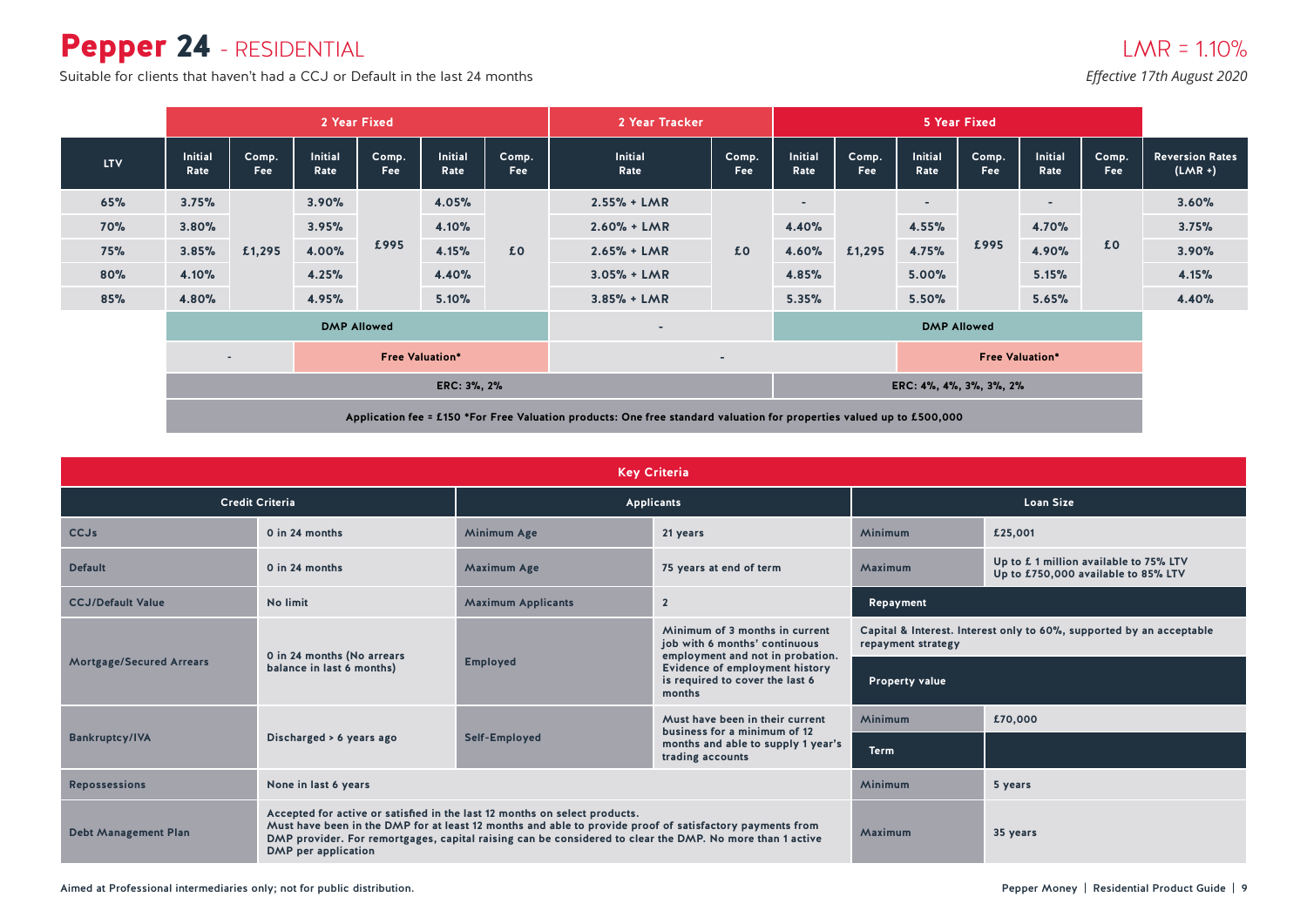### Pepper 24 - RESIDENTIAL

Suitable for clients that haven't had a CCJ or Default in the last 24 months *Effective 17th August 2020* 

|            | 2 Year Fixed                                                                                                          |                     |                        |               |                          | 2 Year Tracker           |                        |              |                          | 5 Year Fixed        |                          |              |                          |              |                                     |
|------------|-----------------------------------------------------------------------------------------------------------------------|---------------------|------------------------|---------------|--------------------------|--------------------------|------------------------|--------------|--------------------------|---------------------|--------------------------|--------------|--------------------------|--------------|-------------------------------------|
| <b>LTV</b> | <b>Initial</b><br>Rate                                                                                                | Comp.<br><b>Fee</b> | <b>Initial</b><br>Rate | Comp.<br>Fee: | Initial<br>Rate          | Comp.<br>Fee             | <b>Initial</b><br>Rate | Comp.<br>Fee | Initial<br>Rate          | Comp.<br><b>Fee</b> | <b>Initial</b><br>Rate   | Comp.<br>Fee | <b>Initial</b><br>Rate   | Comp.<br>Fee | <b>Reversion Rates</b><br>$(LMR +)$ |
| 65%        | 3.75%                                                                                                                 |                     | 3.90%                  |               | 4.05%                    |                          | $2.55% + LMR$          |              | $\overline{\phantom{a}}$ |                     | $\overline{\phantom{a}}$ |              | $\overline{\phantom{a}}$ |              | 3.60%                               |
| <b>70%</b> | 3.80%                                                                                                                 |                     | 3.95%                  |               | 4.10%                    |                          | $2.60% + LMR$          | £0           | 4.40%                    |                     | 4.55%                    |              | 4.70%                    |              | 3.75%                               |
| 75%        | 3.85%                                                                                                                 | £1,295              | 4.00%                  | £995          | 4.15%                    | £0                       | $2.65% + LMR$          |              | 4.60%                    | 4.75%<br>£1,295     |                          | £995         | 4.90%                    | £0           | 3.90%                               |
| 80%        | 4.10%                                                                                                                 |                     | 4.25%                  |               | 4.40%                    |                          | $3.05% + LMR$          |              | 4.85%                    |                     | 5.00%                    |              | 5.15%                    |              | 4.15%                               |
| 85%        | 4.80%                                                                                                                 |                     | 4.95%                  |               | 5.10%                    |                          | $3.85% + LMR$          |              | 5.35%                    |                     | 5.50%                    |              | 5.65%                    |              | 4.40%                               |
|            |                                                                                                                       |                     | <b>DMP Allowed</b>     |               | $\overline{\phantom{a}}$ |                          |                        |              | <b>DMP Allowed</b>       |                     |                          |              |                          |              |                                     |
|            | <b>Free Valuation*</b><br>$\sim$                                                                                      |                     |                        |               |                          | $\overline{\phantom{a}}$ |                        |              | <b>Free Valuation*</b>   |                     |                          |              |                          |              |                                     |
|            | ERC: 3%, 2%                                                                                                           |                     |                        |               |                          | ERC: 4%, 4%, 3%, 3%, 2%  |                        |              |                          |                     |                          |              |                          |              |                                     |
|            | Application fee = £150 *For Free Valuation products: One free standard valuation for properties valued up to £500,000 |                     |                        |               |                          |                          |                        |              |                          |                     |                          |              |                          |              |                                     |

|                             | <b>Key Criteria</b>                                                                               |                                                                                                                                                                                                                      |                                                                                                                 |                       |                                                                              |  |  |  |  |  |
|-----------------------------|---------------------------------------------------------------------------------------------------|----------------------------------------------------------------------------------------------------------------------------------------------------------------------------------------------------------------------|-----------------------------------------------------------------------------------------------------------------|-----------------------|------------------------------------------------------------------------------|--|--|--|--|--|
|                             | <b>Credit Criteria</b>                                                                            |                                                                                                                                                                                                                      | Applicants                                                                                                      | <b>Loan Size</b>      |                                                                              |  |  |  |  |  |
| CCJs                        | 0 in 24 months                                                                                    | <b>Minimum Age</b>                                                                                                                                                                                                   | 21 years                                                                                                        | Minimum               | £25,001                                                                      |  |  |  |  |  |
| <b>Default</b>              | 0 in 24 months                                                                                    | <b>Maximum Age</b>                                                                                                                                                                                                   | 75 years at end of term                                                                                         | Maximum               | Up to £1 million available to 75% LTV<br>Up to £750,000 available to 85% LTV |  |  |  |  |  |
| <b>CCJ/Default Value</b>    | No limit                                                                                          | <b>Maximum Applicants</b>                                                                                                                                                                                            | Repayment                                                                                                       |                       |                                                                              |  |  |  |  |  |
|                             | 0 in 24 months (No arrears                                                                        | Minimum of 3 months in current<br>job with 6 months' continuous                                                                                                                                                      |                                                                                                                 | repayment strategy    | Capital & Interest. Interest only to 60%, supported by an acceptable         |  |  |  |  |  |
| Mortgage/Secured Arrears    | balance in last 6 months)                                                                         | <b>Employed</b>                                                                                                                                                                                                      | employment and not in probation.<br>Evidence of employment history<br>is required to cover the last 6<br>months | <b>Property value</b> |                                                                              |  |  |  |  |  |
|                             |                                                                                                   |                                                                                                                                                                                                                      | Must have been in their current<br>business for a minimum of 12                                                 | Minimum               | £70,000                                                                      |  |  |  |  |  |
| <b>Bankruptcy/IVA</b>       | Discharged > 6 years ago                                                                          | Self-Employed                                                                                                                                                                                                        | months and able to supply 1 year's<br>trading accounts                                                          | <b>Term</b>           |                                                                              |  |  |  |  |  |
| <b>Repossessions</b>        | None in last 6 years                                                                              |                                                                                                                                                                                                                      |                                                                                                                 | Minimum               | 5 years                                                                      |  |  |  |  |  |
| <b>Debt Management Plan</b> | Accepted for active or satisfied in the last 12 months on select products.<br>DMP per application | Must have been in the DMP for at least 12 months and able to provide proof of satisfactory payments from<br>DMP provider. For remortgages, capital raising can be considered to clear the DMP. No more than 1 active | Maximum                                                                                                         | 35 years              |                                                                              |  |  |  |  |  |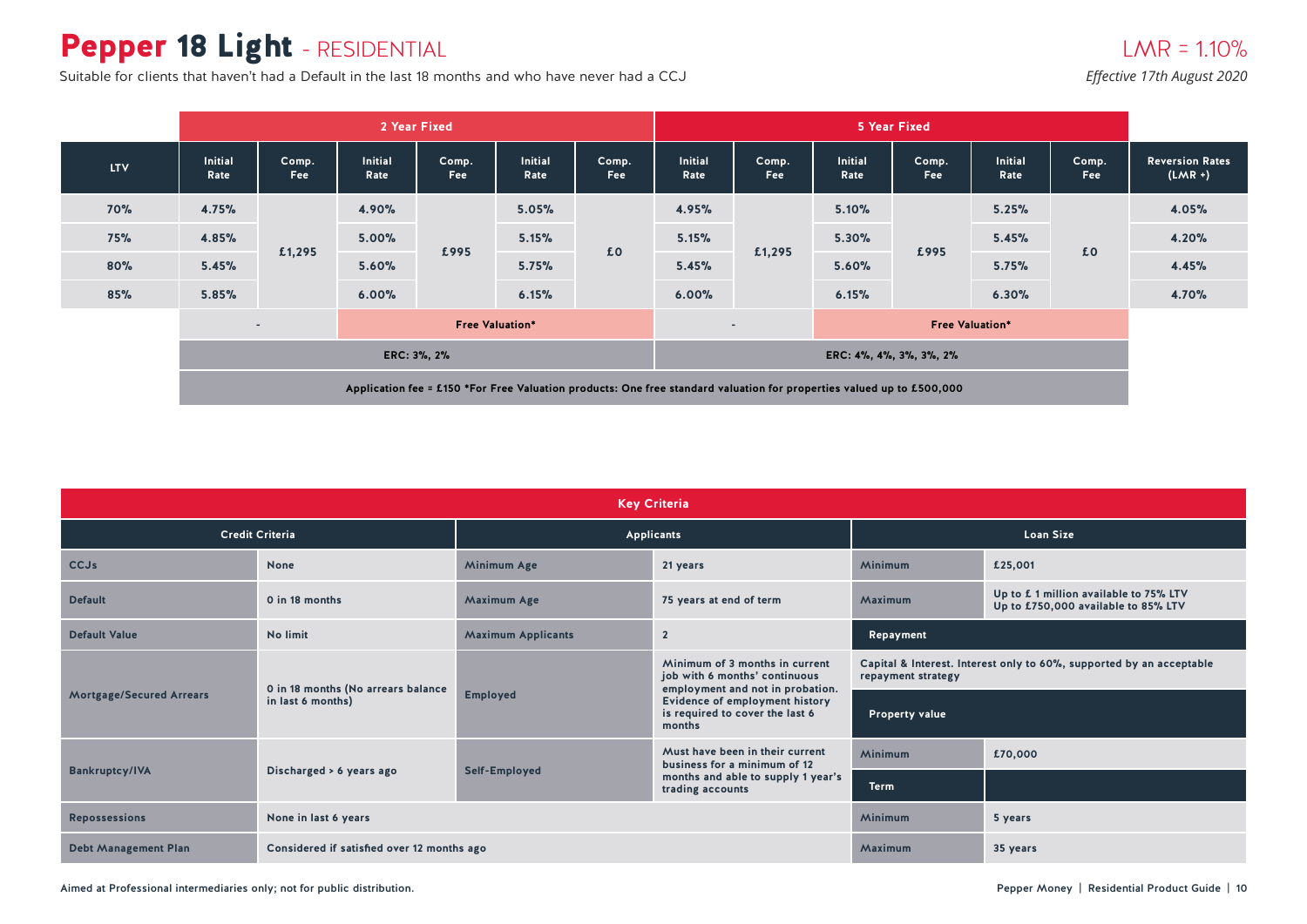# Pepper 18 Light - RESIDENTIAL

Suitable for clients that haven't had a Default in the last 18 months and who have never had a CCJ *Effective 17th August 2020* 

|            |                                                                                                                       |              |                        | 2 Year Fixed        |                        |                     | 5 Year Fixed                     |              |                 |                         |                        |              |                                     |
|------------|-----------------------------------------------------------------------------------------------------------------------|--------------|------------------------|---------------------|------------------------|---------------------|----------------------------------|--------------|-----------------|-------------------------|------------------------|--------------|-------------------------------------|
| <b>LTV</b> | <b>Initial</b><br>Rate                                                                                                | Comp.<br>Fee | <b>Initial</b><br>Rate | Comp.<br><b>Fee</b> | <b>Initial</b><br>Rate | Comp.<br><b>Fee</b> | <b>Initial</b><br>Rate           | Comp.<br>Fee | Initial<br>Rate | Comp.<br>Fee            | <b>Initial</b><br>Rate | Comp.<br>Fee | <b>Reversion Rates</b><br>$(LMR +)$ |
| <b>70%</b> | 4.75%                                                                                                                 |              | 4.90%                  |                     | 5.05%                  |                     | 4.95%                            |              | 5.10%           |                         | 5.25%                  |              | 4.05%                               |
| <b>75%</b> | 4.85%                                                                                                                 |              | 5.00%                  |                     | 5.15%                  | £0                  | 5.15%                            | £1,295       | 5.30%           | £995                    | 5.45%                  | £0           | 4.20%                               |
| 80%        | 5.45%                                                                                                                 | £1,295       | 5.60%                  | £995<br>5.75%       |                        | 5.45%               |                                  | 5.60%        |                 | 5.75%                   |                        | 4.45%        |                                     |
| 85%        | 5.85%                                                                                                                 |              | 6.00%                  |                     | 6.15%                  |                     | 6.00%                            |              | 6.15%           | 6.30%                   |                        |              | 4.70%                               |
|            | <b>Free Valuation*</b><br>$\sim$                                                                                      |              |                        |                     |                        |                     | <b>Free Valuation*</b><br>$\sim$ |              |                 |                         |                        |              |                                     |
|            | ERC: 3%, 2%                                                                                                           |              |                        |                     |                        |                     |                                  |              |                 | ERC: 4%, 4%, 3%, 3%, 2% |                        |              |                                     |
|            | Application fee = £150 *For Free Valuation products: One free standard valuation for properties valued up to £500,000 |              |                        |                     |                        |                     |                                  |              |                 |                         |                        |              |                                     |

| <b>Key Criteria</b>             |                                            |                           |                                                                                                     |                                                                                            |                                                                               |  |  |  |  |
|---------------------------------|--------------------------------------------|---------------------------|-----------------------------------------------------------------------------------------------------|--------------------------------------------------------------------------------------------|-------------------------------------------------------------------------------|--|--|--|--|
|                                 | <b>Credit Criteria</b>                     |                           | Applicants                                                                                          | <b>Loan Size</b>                                                                           |                                                                               |  |  |  |  |
| CCJs                            | <b>None</b>                                | <b>Minimum Age</b>        | 21 years                                                                                            | Minimum                                                                                    | £25,001                                                                       |  |  |  |  |
| <b>Default</b>                  | 0 in 18 months                             | <b>Maximum Age</b>        | 75 years at end of term                                                                             | Maximum                                                                                    | Up to £ 1 million available to 75% LTV<br>Up to £750,000 available to 85% LTV |  |  |  |  |
| <b>Default Value</b>            | No limit                                   | <b>Maximum Applicants</b> | $\overline{2}$                                                                                      | Repayment                                                                                  |                                                                               |  |  |  |  |
|                                 | 0 in 18 months (No arrears balance         |                           | Minimum of 3 months in current<br>job with 6 months' continuous<br>employment and not in probation. | Capital & Interest. Interest only to 60%, supported by an acceptable<br>repayment strategy |                                                                               |  |  |  |  |
| <b>Mortgage/Secured Arrears</b> | in last 6 months)                          | <b>Employed</b>           | <b>Evidence of employment history</b><br>is required to cover the last 6<br>months                  | <b>Property value</b>                                                                      |                                                                               |  |  |  |  |
|                                 |                                            |                           | Must have been in their current<br>business for a minimum of 12                                     | Minimum                                                                                    | £70,000                                                                       |  |  |  |  |
| <b>Bankruptcy/IVA</b>           | Discharged > 6 years ago                   | Self-Employed             | months and able to supply 1 year's<br>trading accounts                                              | <b>Term</b>                                                                                |                                                                               |  |  |  |  |
| <b>Repossessions</b>            | None in last 6 years                       |                           |                                                                                                     | Minimum                                                                                    | 5 years                                                                       |  |  |  |  |
| <b>Debt Management Plan</b>     | Considered if satisfied over 12 months ago |                           |                                                                                                     | Maximum                                                                                    | 35 years                                                                      |  |  |  |  |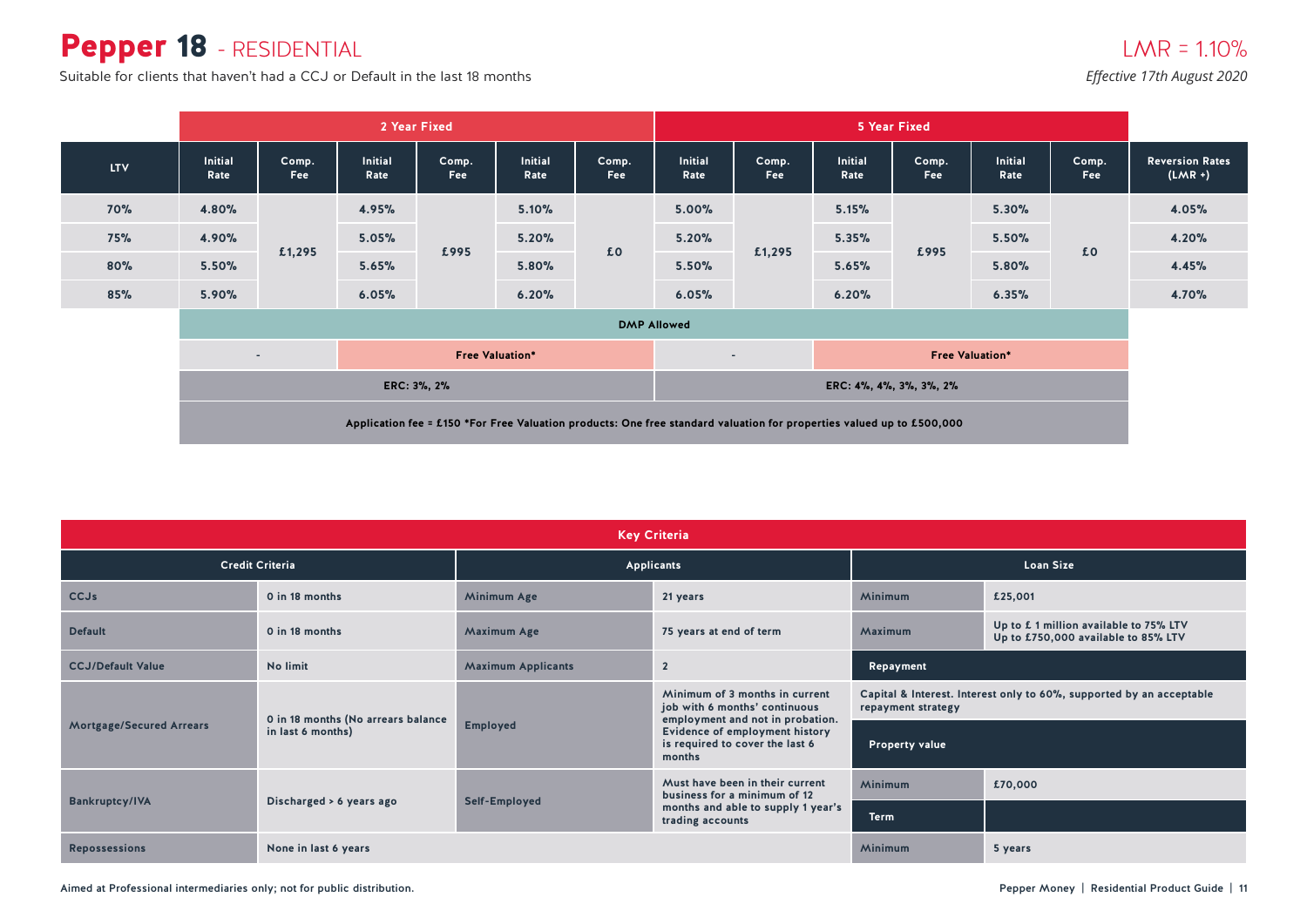### Pepper 18 - RESIDENTIAL

Suitable for clients that haven't had a CCJ or Default in the last 18 months

*Effective 17th August 2020*

|            |                                                                                                                       |                                  |                        | 2 Year Fixed |                        |                     | 5 Year Fixed       |                                  |                 |                         |                        |                     |                                     |
|------------|-----------------------------------------------------------------------------------------------------------------------|----------------------------------|------------------------|--------------|------------------------|---------------------|--------------------|----------------------------------|-----------------|-------------------------|------------------------|---------------------|-------------------------------------|
| <b>LTV</b> | <b>Initial</b><br>Rate                                                                                                | Comp.<br>Fee                     | <b>Initial</b><br>Rate | Comp.<br>Fee | <b>Initial</b><br>Rate | Comp.<br><b>Fee</b> | Initial<br>Rate    | Comp.<br>Fee                     | Initial<br>Rate | Comp.<br>Fee            | <b>Initial</b><br>Rate | Comp.<br><b>Fee</b> | <b>Reversion Rates</b><br>$(LMR +)$ |
| <b>70%</b> | 4.80%                                                                                                                 |                                  | 4.95%                  |              | 5.10%                  |                     | 5.00%              |                                  | 5.15%           |                         | 5.30%                  |                     | 4.05%                               |
| <b>75%</b> | 4.90%                                                                                                                 |                                  | 5.05%                  |              | 5.20%                  |                     | 5.20%              |                                  | 5.35%           | £995                    | 5.50%                  |                     | 4.20%                               |
| 80%        | 5.50%                                                                                                                 | £1,295                           | 5.65%                  | £995         | 5.80%                  | £0                  | 5.50%              | £1,295                           | 5.65%           |                         | 5.80%                  | £0                  | 4.45%                               |
| 85%        | 5.90%                                                                                                                 |                                  | 6.05%                  |              | 6.20%                  |                     | 6.05%              |                                  | 6.20%           |                         | 6.35%                  |                     | 4.70%                               |
|            |                                                                                                                       |                                  |                        |              |                        |                     | <b>DMP Allowed</b> |                                  |                 |                         |                        |                     |                                     |
|            |                                                                                                                       | <b>Free Valuation*</b><br>$\sim$ |                        |              |                        |                     |                    | <b>Free Valuation*</b><br>$\sim$ |                 |                         |                        |                     |                                     |
|            | ERC: 3%, 2%                                                                                                           |                                  |                        |              |                        |                     |                    |                                  |                 | ERC: 4%, 4%, 3%, 3%, 2% |                        |                     |                                     |
|            | Application fee = £150 *For Free Valuation products: One free standard valuation for properties valued up to £500,000 |                                  |                        |              |                        |                     |                    |                                  |                 |                         |                        |                     |                                     |

| <b>Key Criteria</b>                          |                                                                 |                 |                                                                                                     |                                                                                            |         |  |  |  |  |
|----------------------------------------------|-----------------------------------------------------------------|-----------------|-----------------------------------------------------------------------------------------------------|--------------------------------------------------------------------------------------------|---------|--|--|--|--|
|                                              | <b>Credit Criteria</b>                                          |                 | Applicants                                                                                          | <b>Loan Size</b>                                                                           |         |  |  |  |  |
| <b>CCJs</b>                                  | 0 in 18 months                                                  | Minimum Age     | 21 years                                                                                            | <b>Minimum</b>                                                                             | £25,001 |  |  |  |  |
| <b>Default</b>                               | 0 in 18 months<br><b>Maximum Age</b><br>75 years at end of term |                 | Up to £1 million available to 75% LTV<br>Maximum<br>Up to £750,000 available to 85% LTV             |                                                                                            |         |  |  |  |  |
| <b>CCJ/Default Value</b>                     | No limit<br><b>Maximum Applicants</b><br>$\overline{2}$         |                 |                                                                                                     | Repayment                                                                                  |         |  |  |  |  |
|                                              | 0 in 18 months (No arrears balance                              |                 | Minimum of 3 months in current<br>job with 6 months' continuous<br>employment and not in probation. | Capital & Interest. Interest only to 60%, supported by an acceptable<br>repayment strategy |         |  |  |  |  |
| Mortgage/Secured Arrears                     | in last 6 months)                                               | <b>Employed</b> | Evidence of employment history<br>is required to cover the last 6<br>months                         | <b>Property value</b>                                                                      |         |  |  |  |  |
|                                              |                                                                 |                 | Must have been in their current<br>business for a minimum of 12                                     | <b>Minimum</b>                                                                             | £70,000 |  |  |  |  |
| <b>Bankruptcy/IVA</b>                        | Discharged > 6 years ago                                        | Self-Employed   | months and able to supply 1 year's<br>trading accounts                                              | <b>Term</b>                                                                                |         |  |  |  |  |
| <b>Repossessions</b><br>None in last 6 years |                                                                 |                 |                                                                                                     | Minimum                                                                                    | 5 years |  |  |  |  |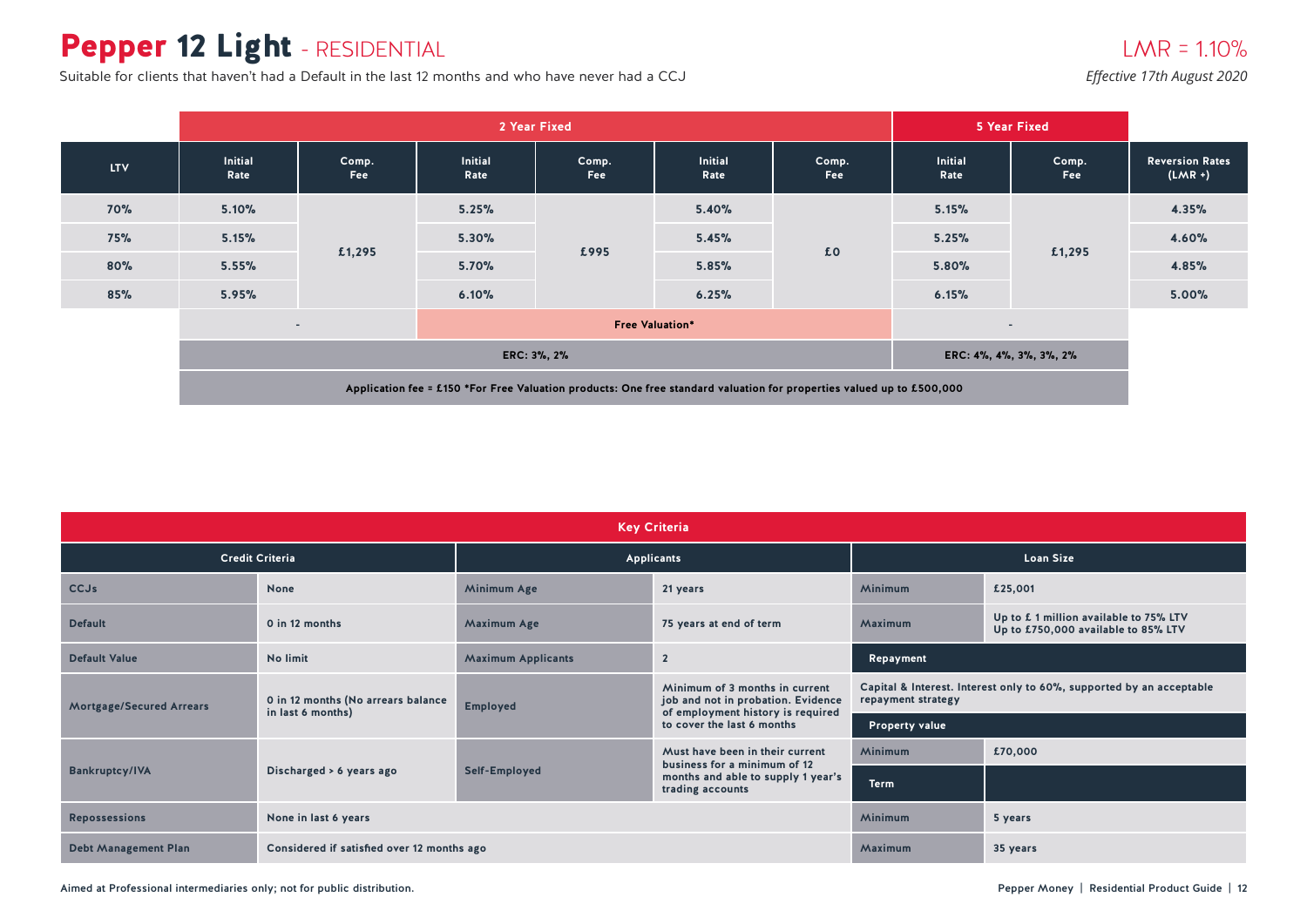# Pepper 12 Light - RESIDENTIAL

Suitable for clients that haven't had a Default in the last 12 months and who have never had a CCJ

#### $LMR = 1.10%$

*Effective 17th August 2020*

|            |                                                                                                                       |                          |                        | 2 Year Fixed             |                        |                     | 5 Year Fixed           |              |                                     |
|------------|-----------------------------------------------------------------------------------------------------------------------|--------------------------|------------------------|--------------------------|------------------------|---------------------|------------------------|--------------|-------------------------------------|
| <b>LTV</b> | Initial<br>Rate                                                                                                       | Comp.<br>Fee             | <b>Initial</b><br>Rate | Comp.<br><b>Fee</b>      | <b>Initial</b><br>Rate | Comp.<br><b>Fee</b> | <b>Initial</b><br>Rate | Comp.<br>Fee | <b>Reversion Rates</b><br>$(LMR +)$ |
| <b>70%</b> | 5.10%                                                                                                                 |                          | 5.25%                  |                          | 5.40%                  | £0                  | 5.15%                  | £1,295       | 4.35%                               |
| <b>75%</b> | 5.15%                                                                                                                 |                          | 5.30%                  | £995                     | 5.45%                  |                     | 5.25%                  |              | 4.60%                               |
| 80%        | 5.55%                                                                                                                 | £1,295                   | 5.70%                  |                          | 5.85%                  |                     | 5.80%                  |              | 4.85%                               |
| 85%        | 5.95%                                                                                                                 |                          | 6.10%                  |                          | 6.25%                  |                     | 6.15%                  |              | 5.00%                               |
|            |                                                                                                                       | $\overline{\phantom{a}}$ |                        | $\overline{\phantom{a}}$ |                        |                     |                        |              |                                     |
|            |                                                                                                                       |                          |                        | ERC: 4%, 4%, 3%, 3%, 2%  |                        |                     |                        |              |                                     |
|            | Application fee = £150 *For Free Valuation products: One free standard valuation for properties valued up to £500,000 |                          |                        |                          |                        |                     |                        |              |                                     |

| <b>Key Criteria</b>             |                                                         |                                             |                                                                                                           |                       |                                                                               |  |  |  |  |
|---------------------------------|---------------------------------------------------------|---------------------------------------------|-----------------------------------------------------------------------------------------------------------|-----------------------|-------------------------------------------------------------------------------|--|--|--|--|
|                                 | <b>Credit Criteria</b>                                  |                                             | Applicants                                                                                                | <b>Loan Size</b>      |                                                                               |  |  |  |  |
| <b>CCJs</b>                     | <b>None</b>                                             | Minimum Age                                 | 21 years                                                                                                  | <b>Minimum</b>        | £25,001                                                                       |  |  |  |  |
| <b>Default</b>                  | 0 in 12 months                                          | <b>Maximum Age</b>                          | Maximum<br>75 years at end of term                                                                        |                       | Up to £ 1 million available to 75% LTV<br>Up to £750,000 available to 85% LTV |  |  |  |  |
| <b>Default Value</b>            | No limit                                                | $\overline{2}$<br><b>Maximum Applicants</b> |                                                                                                           | Repayment             |                                                                               |  |  |  |  |
| <b>Mortgage/Secured Arrears</b> | 0 in 12 months (No arrears balance<br>in last 6 months) | <b>Employed</b>                             | Minimum of 3 months in current<br>job and not in probation. Evidence<br>of employment history is required | repayment strategy    | Capital & Interest. Interest only to 60%, supported by an acceptable          |  |  |  |  |
|                                 |                                                         |                                             | to cover the last 6 months                                                                                | <b>Property value</b> |                                                                               |  |  |  |  |
|                                 |                                                         |                                             | Must have been in their current<br>business for a minimum of 12                                           | <b>Minimum</b>        | £70,000                                                                       |  |  |  |  |
| <b>Bankruptcy/IVA</b>           | Discharged > 6 years ago                                | Self-Employed                               | months and able to supply 1 year's<br>trading accounts                                                    |                       |                                                                               |  |  |  |  |
| <b>Repossessions</b>            | None in last 6 years                                    |                                             |                                                                                                           | <b>Minimum</b>        | 5 years                                                                       |  |  |  |  |
| <b>Debt Management Plan</b>     | Considered if satisfied over 12 months ago              | Maximum                                     | 35 years                                                                                                  |                       |                                                                               |  |  |  |  |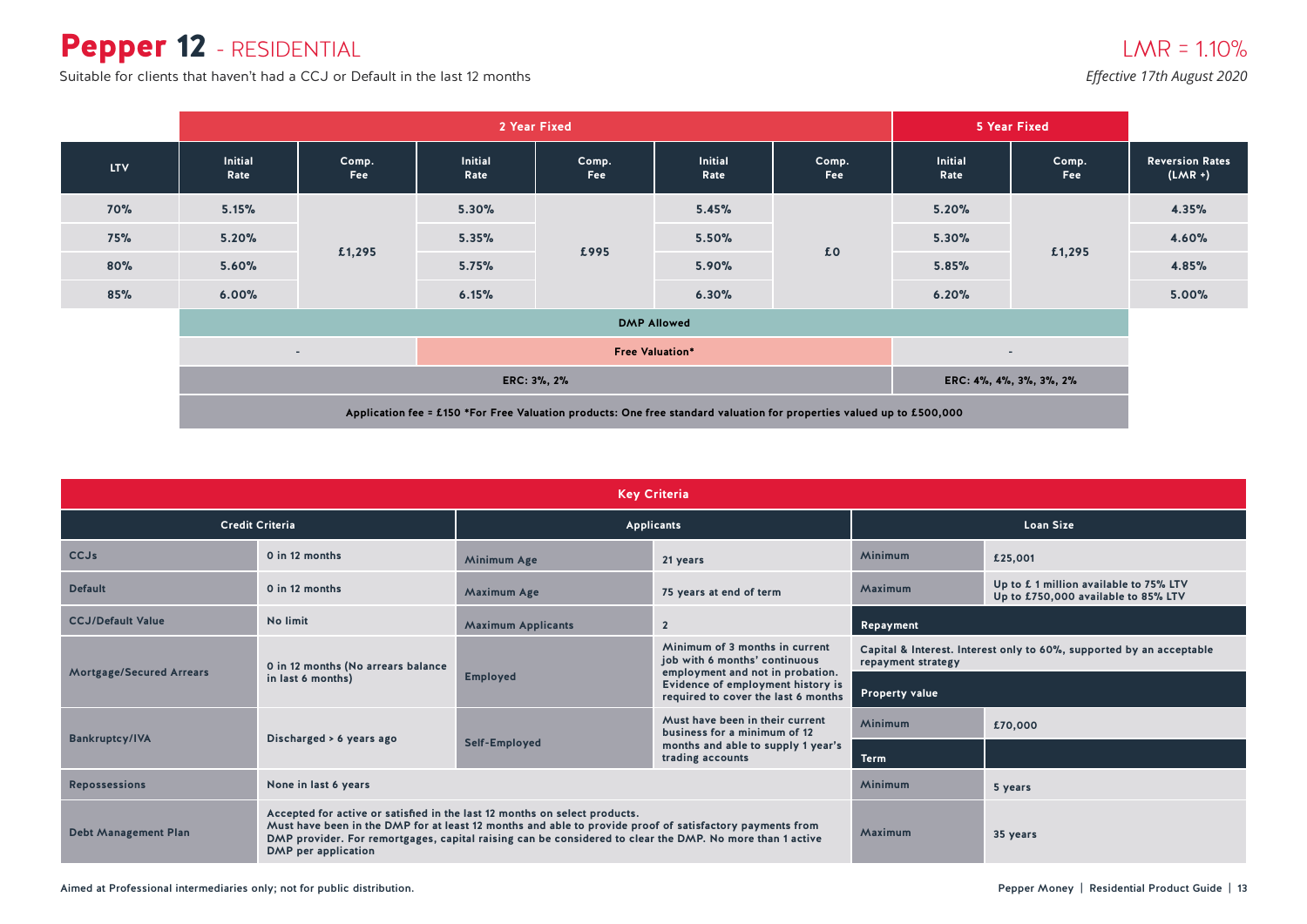### Pepper 12 - RESIDENTIAL

Suitable for clients that haven't had a CCJ or Default in the last 12 months

*Effective 17th August 2020*

|            |                                                                                                                       |                     | 2 Year Fixed           |              |                        |              | 5 Year Fixed           |                         |                                     |
|------------|-----------------------------------------------------------------------------------------------------------------------|---------------------|------------------------|--------------|------------------------|--------------|------------------------|-------------------------|-------------------------------------|
| <b>LTV</b> | <b>Initial</b><br>Rate                                                                                                | Comp.<br><b>Fee</b> | <b>Initial</b><br>Rate | Comp.<br>Fee | <b>Initial</b><br>Rate | Comp.<br>Fee | <b>Initial</b><br>Rate | Comp.<br>Fee            | <b>Reversion Rates</b><br>$(LMR +)$ |
| <b>70%</b> | 5.15%                                                                                                                 |                     | 5.30%                  |              | 5.45%                  | £0           | 5.20%                  |                         | 4.35%                               |
| <b>75%</b> | 5.20%                                                                                                                 |                     | 5.35%                  | £995         | 5.50%                  |              | 5.30%                  | £1,295                  | 4.60%                               |
| 80%        | 5.60%                                                                                                                 | £1,295              | 5.75%                  |              | 5.90%                  |              | 5.85%                  |                         | 4.85%                               |
| 85%        | 6.00%                                                                                                                 |                     | 6.15%                  |              | 6.30%                  |              | 6.20%                  |                         | 5.00%                               |
|            |                                                                                                                       |                     |                        |              | <b>DMP Allowed</b>     |              |                        |                         |                                     |
|            | <b>Free Valuation*</b><br>$\sim$                                                                                      |                     |                        |              |                        |              |                        | $\sim$                  |                                     |
|            | ERC: 3%, 2%                                                                                                           |                     |                        |              |                        |              |                        | ERC: 4%, 4%, 3%, 3%, 2% |                                     |
|            | Application fee = £150 *For Free Valuation products: One free standard valuation for properties valued up to £500,000 |                     |                        |              |                        |              |                        |                         |                                     |

| <b>Key Criteria</b>             |                                                                                                   |                                                                                                                                                                                                                      |                                                                                                              |                                                                                            |         |  |  |  |  |
|---------------------------------|---------------------------------------------------------------------------------------------------|----------------------------------------------------------------------------------------------------------------------------------------------------------------------------------------------------------------------|--------------------------------------------------------------------------------------------------------------|--------------------------------------------------------------------------------------------|---------|--|--|--|--|
|                                 | <b>Credit Criteria</b>                                                                            |                                                                                                                                                                                                                      | <b>Applicants</b>                                                                                            | <b>Loan Size</b>                                                                           |         |  |  |  |  |
| <b>CCJs</b>                     | 0 in 12 months                                                                                    | <b>Minimum Age</b>                                                                                                                                                                                                   | 21 years                                                                                                     | Minimum                                                                                    | £25,001 |  |  |  |  |
| <b>Default</b>                  | 0 in 12 months                                                                                    | 75 years at end of term<br><b>Maximum Age</b>                                                                                                                                                                        |                                                                                                              | Up to £1 million available to 75% LTV<br>Maximum<br>Up to £750,000 available to 85% LTV    |         |  |  |  |  |
| <b>CCJ/Default Value</b>        | No limit                                                                                          | <b>Maximum Applicants</b>                                                                                                                                                                                            | $\overline{2}$                                                                                               | Repayment                                                                                  |         |  |  |  |  |
|                                 | 0 in 12 months (No arrears balance                                                                |                                                                                                                                                                                                                      | Minimum of 3 months in current<br>job with 6 months' continuous                                              | Capital & Interest. Interest only to 60%, supported by an acceptable<br>repayment strategy |         |  |  |  |  |
| <b>Mortgage/Secured Arrears</b> | in last 6 months)                                                                                 | <b>Employed</b>                                                                                                                                                                                                      | employment and not in probation.<br>Evidence of employment history is<br>required to cover the last 6 months | <b>Property value</b>                                                                      |         |  |  |  |  |
|                                 |                                                                                                   |                                                                                                                                                                                                                      | Must have been in their current<br>business for a minimum of 12                                              | Minimum                                                                                    | £70,000 |  |  |  |  |
| <b>Bankruptcy/IVA</b>           | Discharged > 6 years ago                                                                          | Self-Employed                                                                                                                                                                                                        | months and able to supply 1 year's<br>trading accounts                                                       | Term                                                                                       |         |  |  |  |  |
| <b>Repossessions</b>            | None in last 6 years                                                                              |                                                                                                                                                                                                                      |                                                                                                              | Minimum                                                                                    | 5 years |  |  |  |  |
| <b>Debt Management Plan</b>     | Accepted for active or satisfied in the last 12 months on select products.<br>DMP per application | Must have been in the DMP for at least 12 months and able to provide proof of satisfactory payments from<br>DMP provider. For remortgages, capital raising can be considered to clear the DMP. No more than 1 active | Maximum                                                                                                      | 35 years                                                                                   |         |  |  |  |  |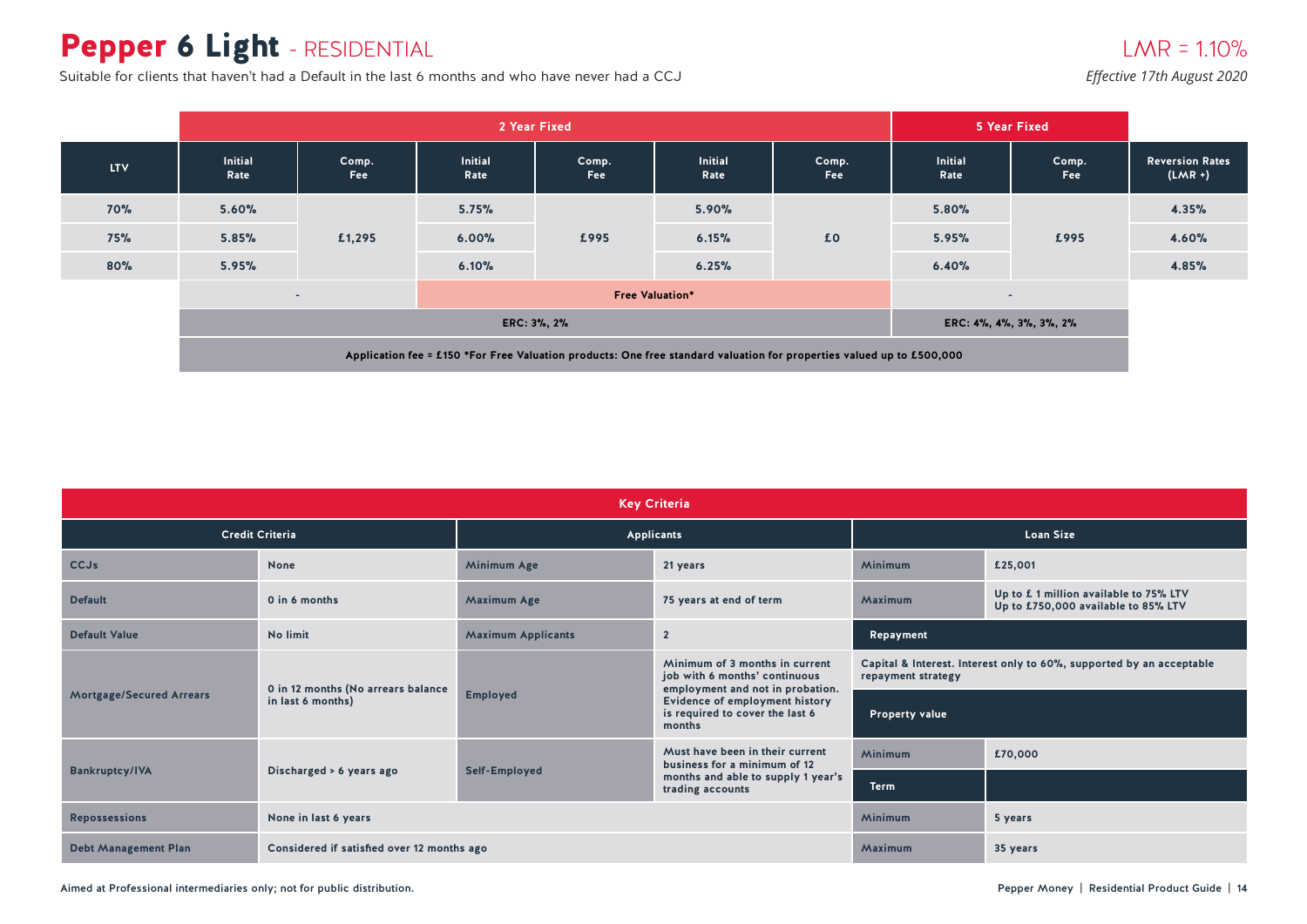# Pepper 6 Light - RESIDENTIAL

Suitable for clients that haven't had a Default in the last 6 months and who have never had a CCJ

#### $LMR = 1.10%$ *Effective 17th August 2020*

|            |                                                                                                                       |                     | 2 Year Fixed    |                     | 5 Year Fixed           |              |                        |              |                                     |
|------------|-----------------------------------------------------------------------------------------------------------------------|---------------------|-----------------|---------------------|------------------------|--------------|------------------------|--------------|-------------------------------------|
| <b>LTV</b> | <b>Initial</b><br>Rate                                                                                                | Comp.<br><b>Fee</b> | Initial<br>Rate | Comp.<br><b>Fee</b> | <b>Initial</b><br>Rate | Comp.<br>Fee | <b>Initial</b><br>Rate | Comp.<br>Fee | <b>Reversion Rates</b><br>$(LMR +)$ |
| <b>70%</b> | 5.60%                                                                                                                 |                     | 5.75%           |                     | 5.90%                  |              | 5.80%                  |              | 4.35%                               |
| 75%        | 5.85%                                                                                                                 | £1,295              | 6.00%           | £995                | 6.15%                  | £0           | 5.95%                  | £995         | 4.60%                               |
| 80%        | 5.95%                                                                                                                 |                     | 6.10%           |                     | 6.25%                  |              | 6.40%                  |              | 4.85%                               |
|            |                                                                                                                       | $\sim$              |                 |                     | $\sim$                 |              |                        |              |                                     |
|            | ERC: 3%, 2%<br>ERC: 4%, 4%, 3%, 3%, 2%                                                                                |                     |                 |                     |                        |              |                        |              |                                     |
|            | Application fee = £150 *For Free Valuation products: One free standard valuation for properties valued up to £500,000 |                     |                 |                     |                        |              |                        |              |                                     |

| <b>Key Criteria</b>             |                                            |                           |                                                                                                     |                                                                                            |                                                                              |  |  |  |  |
|---------------------------------|--------------------------------------------|---------------------------|-----------------------------------------------------------------------------------------------------|--------------------------------------------------------------------------------------------|------------------------------------------------------------------------------|--|--|--|--|
|                                 | <b>Credit Criteria</b>                     |                           | Applicants                                                                                          | <b>Loan Size</b>                                                                           |                                                                              |  |  |  |  |
| <b>CCJs</b>                     | None                                       | Minimum Age               | 21 years                                                                                            | <b>Minimum</b>                                                                             | £25,001                                                                      |  |  |  |  |
| <b>Default</b>                  | 0 in 6 months                              | <b>Maximum Age</b>        | 75 years at end of term                                                                             | Maximum                                                                                    | Up to £1 million available to 75% LTV<br>Up to £750,000 available to 85% LTV |  |  |  |  |
| <b>Default Value</b>            | No limit                                   | <b>Maximum Applicants</b> | $\overline{2}$                                                                                      | Repayment                                                                                  |                                                                              |  |  |  |  |
|                                 | 0 in 12 months (No arrears balance         |                           | Minimum of 3 months in current<br>job with 6 months' continuous<br>employment and not in probation. | Capital & Interest. Interest only to 60%, supported by an acceptable<br>repayment strategy |                                                                              |  |  |  |  |
| <b>Mortgage/Secured Arrears</b> | in last 6 months)                          | <b>Employed</b>           | Evidence of employment history<br>is required to cover the last 6<br>months                         | <b>Property value</b>                                                                      |                                                                              |  |  |  |  |
|                                 |                                            |                           | Must have been in their current<br>business for a minimum of 12                                     | <b>Minimum</b>                                                                             | £70,000                                                                      |  |  |  |  |
| <b>Bankruptcy/IVA</b>           | Discharged > 6 years ago                   | Self-Employed             | months and able to supply 1 year's<br>trading accounts                                              | <b>Term</b>                                                                                |                                                                              |  |  |  |  |
| <b>Repossessions</b>            | None in last 6 years                       |                           |                                                                                                     | <b>Minimum</b>                                                                             | 5 years                                                                      |  |  |  |  |
| <b>Debt Management Plan</b>     | Considered if satisfied over 12 months ago |                           |                                                                                                     | Maximum                                                                                    | 35 years                                                                     |  |  |  |  |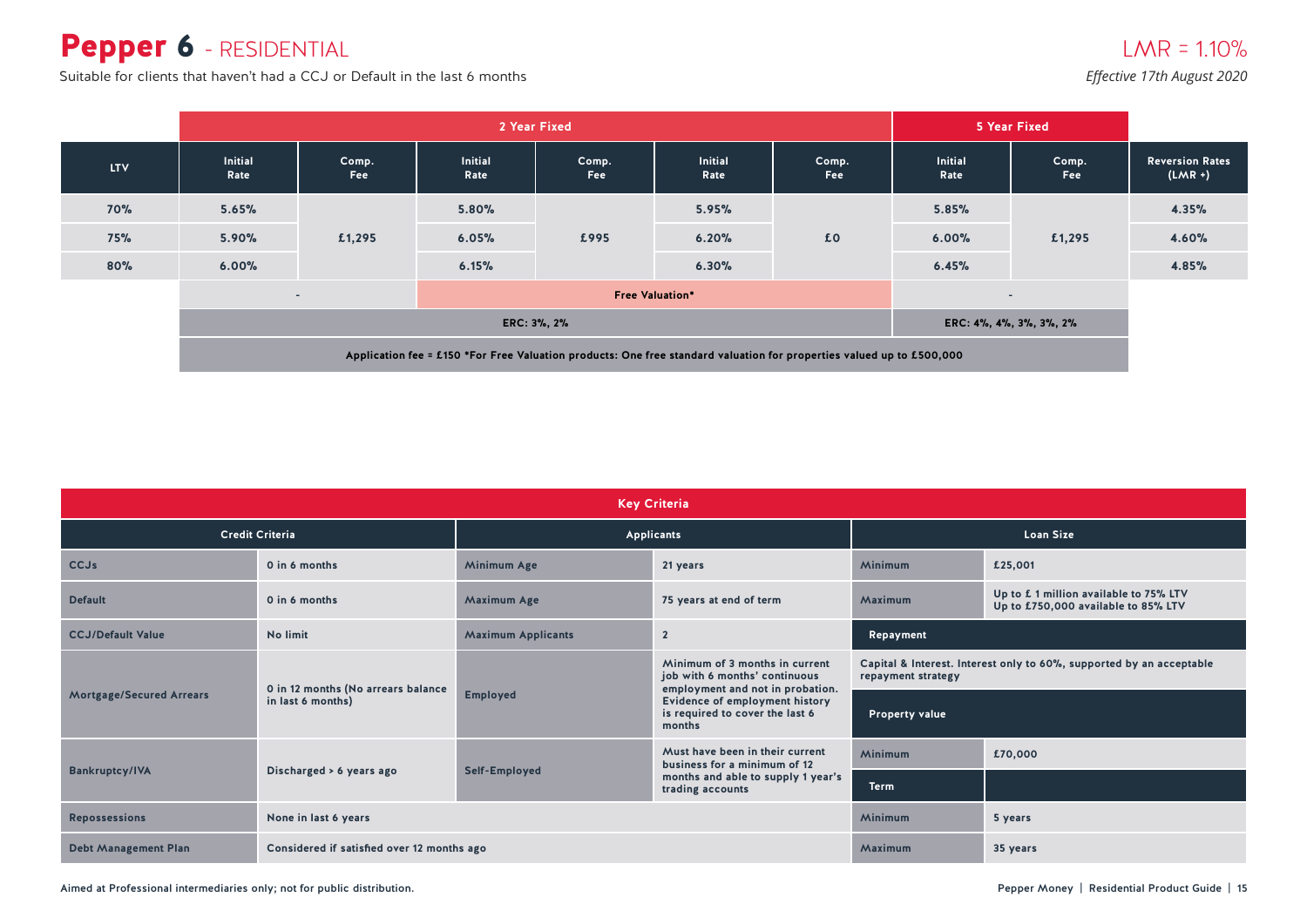### Pepper 6 - RESIDENTIAL

Suitable for clients that haven't had a CCJ or Default in the last 6 months

*Effective 17th August 2020*

|                                                                                                                       | 2 Year Fixed                               |              |                        |              |                        |                     | 5 Year Fixed           |              |                                     |
|-----------------------------------------------------------------------------------------------------------------------|--------------------------------------------|--------------|------------------------|--------------|------------------------|---------------------|------------------------|--------------|-------------------------------------|
| <b>LTV</b>                                                                                                            | <b>Initial</b><br>Rate                     | Comp.<br>Fee | <b>Initial</b><br>Rate | Comp.<br>Fee | <b>Initial</b><br>Rate | Comp.<br><b>Fee</b> | <b>Initial</b><br>Rate | Comp.<br>Fee | <b>Reversion Rates</b><br>$(LMR +)$ |
| <b>70%</b>                                                                                                            | 5.65%                                      | £1,295       | 5.80%                  | £995         | 5.95%                  | £0                  | 5.85%                  | £1,295       | 4.35%                               |
| <b>75%</b>                                                                                                            | 5.90%                                      |              | 6.05%                  |              | 6.20%                  |                     | 6.00%                  |              | 4.60%                               |
| 80%                                                                                                                   | 6.00%                                      |              | 6.15%                  |              | 6.30%                  |                     | 6.45%                  |              | 4.85%                               |
|                                                                                                                       | <b>Free Valuation*</b><br>$\sim$<br>$\sim$ |              |                        |              |                        |                     |                        |              |                                     |
|                                                                                                                       | ERC: 3%, 2%<br>ERC: 4%, 4%, 3%, 3%, 2%     |              |                        |              |                        |                     |                        |              |                                     |
| Application fee = £150 *For Free Valuation products: One free standard valuation for properties valued up to £500,000 |                                            |              |                        |              |                        |                     |                        |              |                                     |

| <b>Key Criteria</b>                                                       |                                                         |                           |                                                                                                                           |                                                                                            |                                                                               |  |  |
|---------------------------------------------------------------------------|---------------------------------------------------------|---------------------------|---------------------------------------------------------------------------------------------------------------------------|--------------------------------------------------------------------------------------------|-------------------------------------------------------------------------------|--|--|
|                                                                           | <b>Credit Criteria</b>                                  | Applicants                |                                                                                                                           | <b>Loan Size</b>                                                                           |                                                                               |  |  |
| CCJs                                                                      | 0 in 6 months                                           | Minimum Age               | 21 years                                                                                                                  | <b>Minimum</b>                                                                             | £25,001                                                                       |  |  |
| <b>Default</b>                                                            | 0 in 6 months                                           | <b>Maximum Age</b>        | 75 years at end of term                                                                                                   | Maximum                                                                                    | Up to £ 1 million available to 75% LTV<br>Up to £750,000 available to 85% LTV |  |  |
| <b>CCJ/Default Value</b>                                                  | No limit                                                | <b>Maximum Applicants</b> | $\overline{2}$                                                                                                            | Repayment                                                                                  |                                                                               |  |  |
|                                                                           | 0 in 12 months (No arrears balance<br>in last 6 months) | <b>Employed</b>           | Minimum of 3 months in current<br>job with 6 months' continuous<br>employment and not in probation.                       | Capital & Interest. Interest only to 60%, supported by an acceptable<br>repayment strategy |                                                                               |  |  |
| <b>Mortgage/Secured Arrears</b>                                           |                                                         |                           | <b>Evidence of employment history</b><br>is required to cover the last 6<br>months                                        | <b>Property value</b>                                                                      |                                                                               |  |  |
|                                                                           | Discharged > 6 years ago                                | Self-Employed             | Must have been in their current<br>business for a minimum of 12<br>months and able to supply 1 year's<br>trading accounts | <b>Minimum</b>                                                                             | £70,000                                                                       |  |  |
| <b>Bankruptcy/IVA</b>                                                     |                                                         |                           |                                                                                                                           | <b>Term</b>                                                                                |                                                                               |  |  |
| <b>Repossessions</b>                                                      | None in last 6 years                                    |                           |                                                                                                                           | <b>Minimum</b>                                                                             | 5 years                                                                       |  |  |
| <b>Debt Management Plan</b><br>Considered if satisfied over 12 months ago |                                                         |                           |                                                                                                                           | Maximum                                                                                    | 35 years                                                                      |  |  |

Aimed at Professional intermediaries only; not for public distribution. Notice that the controller controller that the pepper Money | Residential Product Guide | 15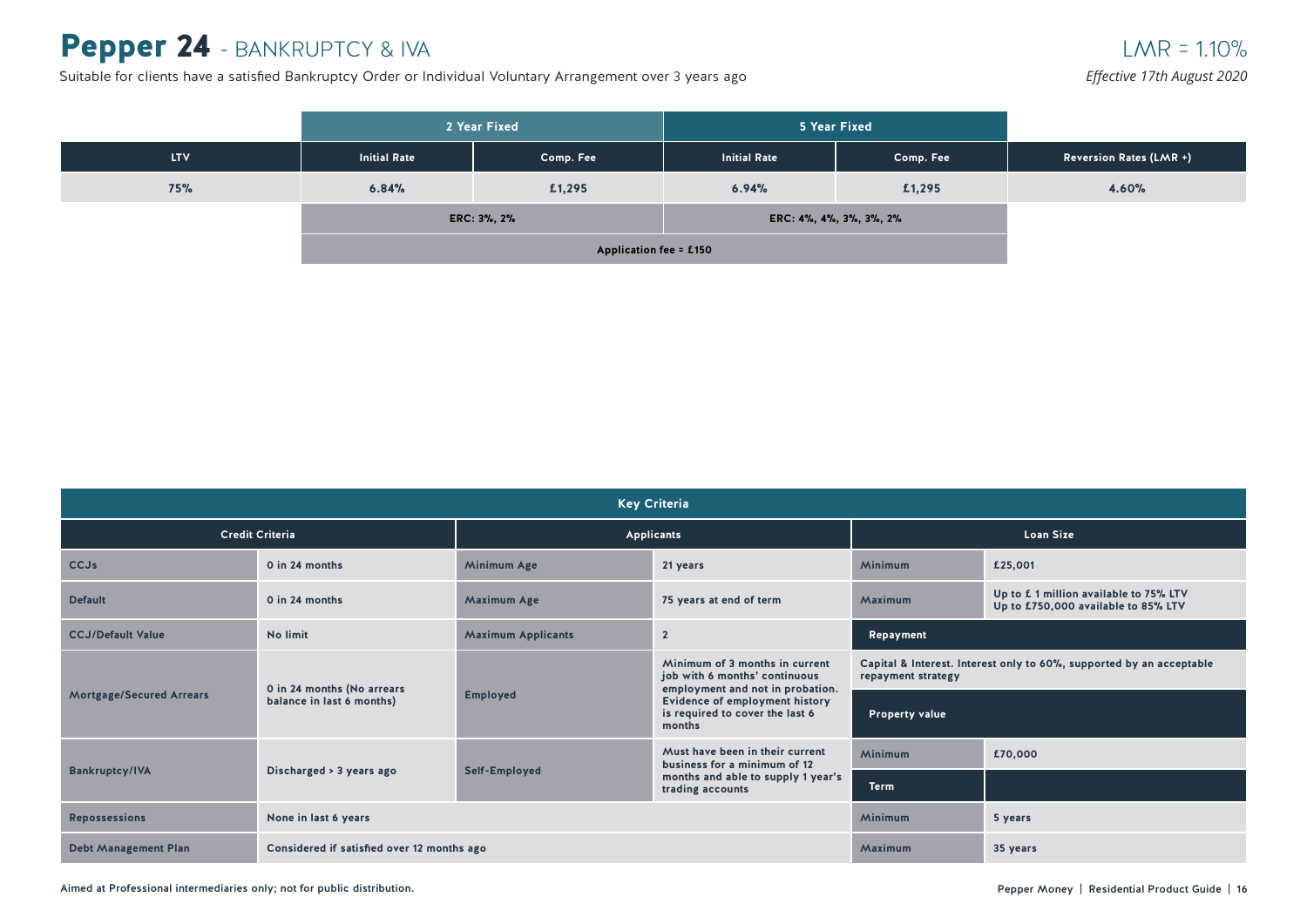### Pepper 24 - BANKRUPTCY & IVA

Suitable for clients have a satisfied Bankruptcy Order or Individual Voluntary Arrangement over 3 years ago

#### $LMR = 1.10%$

*Effective 17th August 2020*

|      |                     | 2 Year Fixed |                     | 5 Year Fixed            |                                |
|------|---------------------|--------------|---------------------|-------------------------|--------------------------------|
| LTV. | <b>Initial Rate</b> | Comp. Fee    | <b>Initial Rate</b> | Comp. Fee               | <b>Reversion Rates (LMR +)</b> |
| 75%  | 6.84%<br>£1,295     |              | 6.94%               | £1,295                  | 4.60%                          |
|      |                     | ERC: 3%, 2%  |                     | ERC: 4%, 4%, 3%, 3%, 2% |                                |
|      |                     |              |                     |                         |                                |

| <b>Key Criteria</b>                                                       |                                                         |                           |                                                                                                                                                                                    |                                                                                            |                                                                               |  |  |
|---------------------------------------------------------------------------|---------------------------------------------------------|---------------------------|------------------------------------------------------------------------------------------------------------------------------------------------------------------------------------|--------------------------------------------------------------------------------------------|-------------------------------------------------------------------------------|--|--|
|                                                                           | <b>Credit Criteria</b>                                  |                           | <b>Applicants</b>                                                                                                                                                                  | <b>Loan Size</b>                                                                           |                                                                               |  |  |
| <b>CCJs</b>                                                               | 0 in 24 months                                          | Minimum Age               | 21 years                                                                                                                                                                           | Minimum                                                                                    | £25,001                                                                       |  |  |
| <b>Default</b>                                                            | 0 in 24 months                                          | Maximum Age               | 75 years at end of term                                                                                                                                                            | Maximum                                                                                    | Up to £ 1 million available to 75% LTV<br>Up to £750,000 available to 85% LTV |  |  |
| <b>CCJ/Default Value</b>                                                  | No limit                                                | <b>Maximum Applicants</b> | $\overline{2}$                                                                                                                                                                     | Repayment                                                                                  |                                                                               |  |  |
|                                                                           | 0 in 24 months (No arrears<br>balance in last 6 months) | <b>Employed</b>           | Minimum of 3 months in current<br>job with 6 months' continuous<br>employment and not in probation.<br>Evidence of employment history<br>is required to cover the last 6<br>months | Capital & Interest. Interest only to 60%, supported by an acceptable<br>repayment strategy |                                                                               |  |  |
| <b>Mortgage/Secured Arrears</b>                                           |                                                         |                           |                                                                                                                                                                                    | <b>Property value</b>                                                                      |                                                                               |  |  |
|                                                                           | Discharged > 3 years ago                                | Self-Employed             | Must have been in their current<br>business for a minimum of 12<br>months and able to supply 1 year's<br>trading accounts                                                          | <b>Minimum</b>                                                                             | £70,000                                                                       |  |  |
| <b>Bankruptcy/IVA</b>                                                     |                                                         |                           |                                                                                                                                                                                    | <b>Term</b>                                                                                |                                                                               |  |  |
| <b>Repossessions</b>                                                      | None in last 6 years                                    |                           |                                                                                                                                                                                    |                                                                                            | 5 years                                                                       |  |  |
| <b>Debt Management Plan</b><br>Considered if satisfied over 12 months ago |                                                         |                           |                                                                                                                                                                                    |                                                                                            | 35 years                                                                      |  |  |